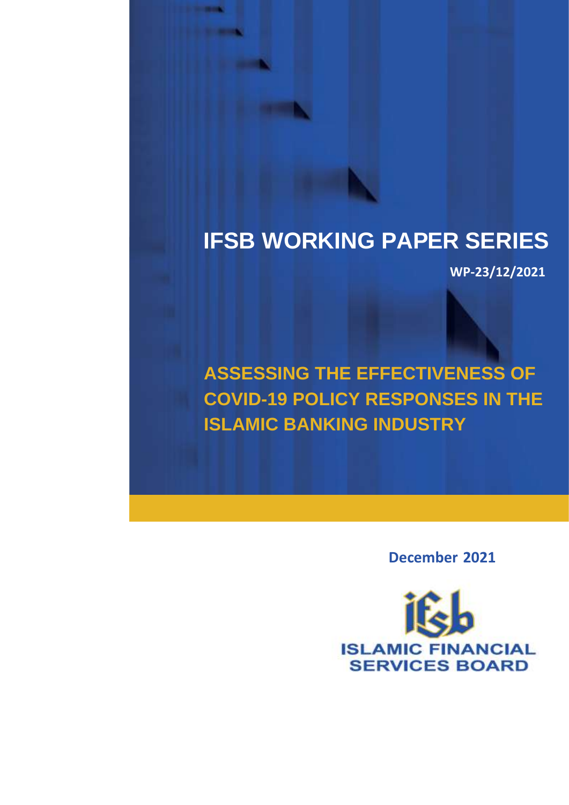# **IFSB WORKING PAPER SERIES**

 **WP-23/12/2021**

**ASSESSING THE EFFECTIVENESS OF COVID-19 POLICY RESPONSES IN THE ISLAMIC BANKING INDUSTRY** 

 **December 2021** 

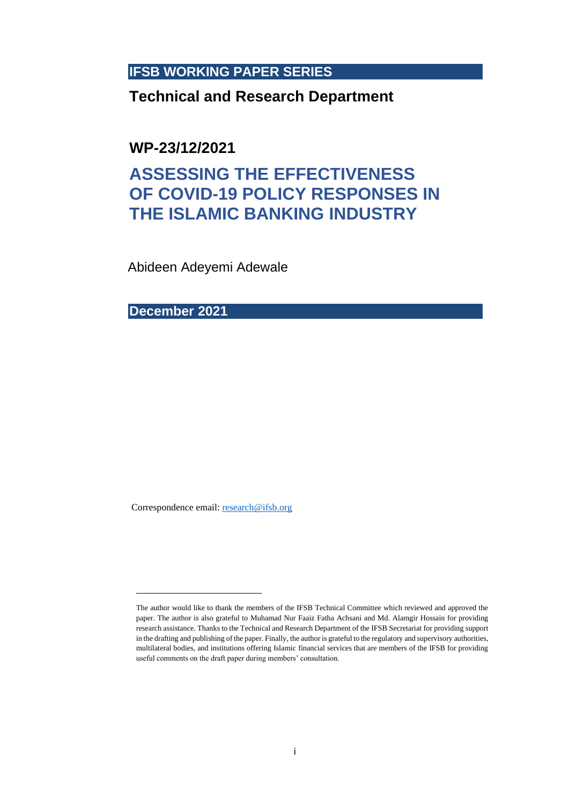### **IFSB WORKING PAPER SERIES**

### **Technical and Research Department**

**WP-23/12/2021**

## **ASSESSING THE EFFECTIVENESS OF COVID-19 POLICY RESPONSES IN THE ISLAMIC BANKING INDUSTRY**

Abideen Adeyemi Adewale

**December 2021**

Correspondence email[: research@ifsb.org](mailto:research@ifsb.org)

The author would like to thank the members of the IFSB Technical Committee which reviewed and approved the paper. The author is also grateful to Muhamad Nur Faaiz Fatha Achsani and Md. Alamgir Hossain for providing research assistance. Thanks to the Technical and Research Department of the IFSB Secretariat for providing support in the drafting and publishing of the paper. Finally, the author is grateful to the regulatory and supervisory authorities, multilateral bodies, and institutions offering Islamic financial services that are members of the IFSB for providing useful comments on the draft paper during members' consultation.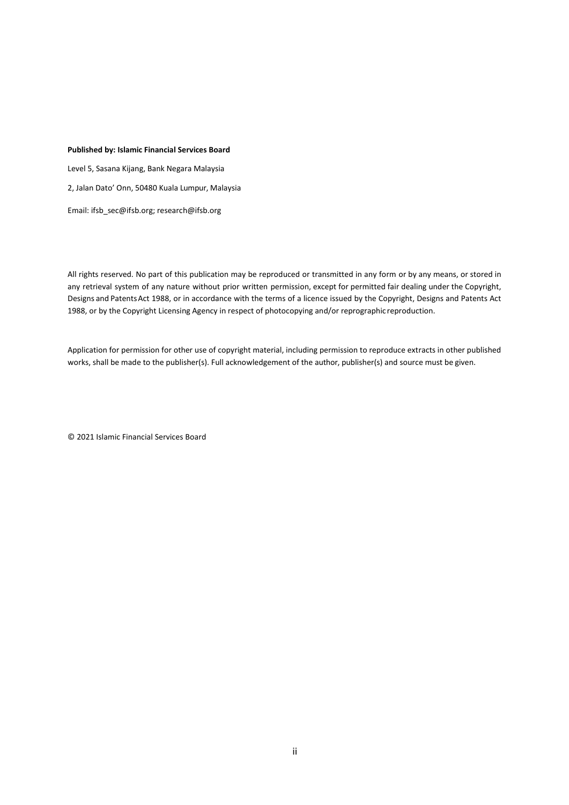#### **Published by: Islamic Financial Services Board**

Level 5, Sasana Kijang, Bank Negara Malaysia 2, Jalan Dato' Onn, 50480 Kuala Lumpur, Malaysia Email: [ifsb\\_sec@ifsb.org;](mailto:ifsb_sec@ifsb.org) research@ifsb.org

All rights reserved. No part of this publication may be reproduced or transmitted in any form or by any means, or stored in any retrieval system of any nature without prior written permission, except for permitted fair dealing under the Copyright, Designs and PatentsAct 1988, or in accordance with the terms of a licence issued by the Copyright, Designs and Patents Act 1988, or by the Copyright Licensing Agency in respect of photocopying and/or reprographic reproduction.

Application for permission for other use of copyright material, including permission to reproduce extracts in other published works, shall be made to the publisher(s). Full acknowledgement of the author, publisher(s) and source must be given.

© 2021 Islamic Financial Services Board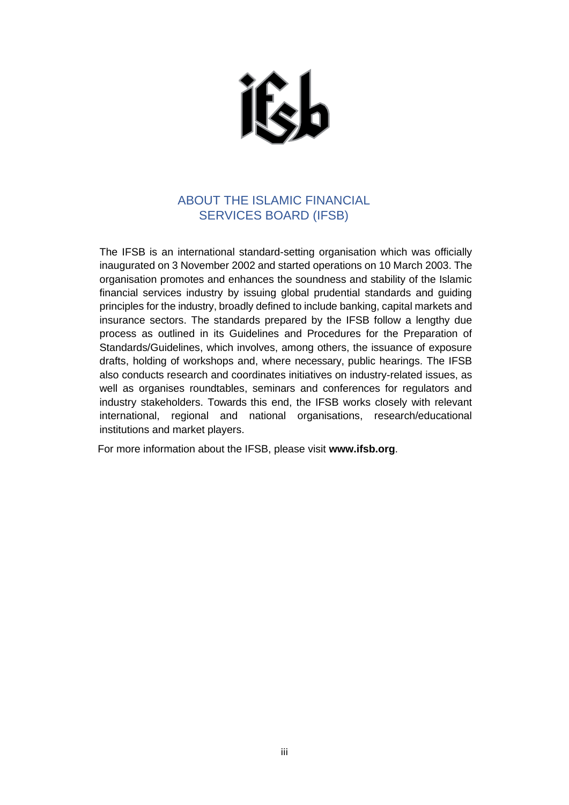ifela

### ABOUT THE ISLAMIC FINANCIAL SERVICES BOARD (IFSB)

<span id="page-3-0"></span>The IFSB is an international standard-setting organisation which was officially inaugurated on 3 November 2002 and started operations on 10 March 2003. The organisation promotes and enhances the soundness and stability of the Islamic financial services industry by issuing global prudential standards and guiding principles for the industry, broadly defined to include banking, capital markets and insurance sectors. The standards prepared by the IFSB follow a lengthy due process as outlined in its Guidelines and Procedures for the Preparation of Standards/Guidelines, which involves, among others, the issuance of exposure drafts, holding of workshops and, where necessary, public hearings. The IFSB also conducts research and coordinates initiatives on industry-related issues, as well as organises roundtables, seminars and conferences for regulators and industry stakeholders. Towards this end, the IFSB works closely with relevant international, regional and national organisations, research/educational institutions and market players.

For more information about the IFSB, please visit **[www.ifsb.org](http://www.ifsb.org/)**.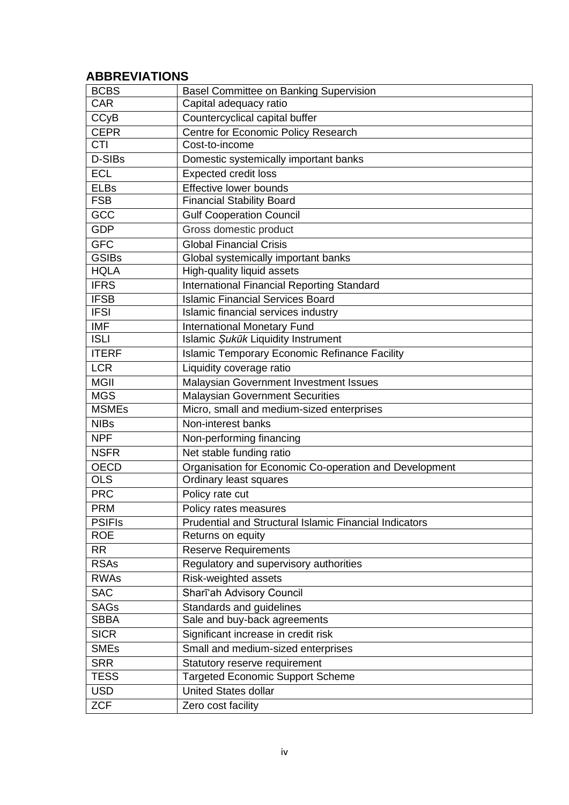### <span id="page-4-0"></span>**ABBREVIATIONS**

| <b>BCBS</b>   | Basel Committee on Banking Supervision                 |
|---------------|--------------------------------------------------------|
| <b>CAR</b>    | Capital adequacy ratio                                 |
| <b>CCyB</b>   | Countercyclical capital buffer                         |
| <b>CEPR</b>   | Centre for Economic Policy Research                    |
| <b>CTI</b>    | Cost-to-income                                         |
| D-SIBs        | Domestic systemically important banks                  |
| <b>ECL</b>    | <b>Expected credit loss</b>                            |
| <b>ELBs</b>   | Effective lower bounds                                 |
| <b>FSB</b>    | <b>Financial Stability Board</b>                       |
| GCC           | <b>Gulf Cooperation Council</b>                        |
| <b>GDP</b>    | Gross domestic product                                 |
| <b>GFC</b>    | <b>Global Financial Crisis</b>                         |
| <b>GSIBs</b>  | Global systemically important banks                    |
| <b>HQLA</b>   | High-quality liquid assets                             |
| <b>IFRS</b>   | International Financial Reporting Standard             |
| <b>IFSB</b>   | <b>Islamic Financial Services Board</b>                |
| <b>IFSI</b>   | Islamic financial services industry                    |
| <b>IMF</b>    | <b>International Monetary Fund</b>                     |
| <b>ISLI</b>   | Islamic Şukūk Liquidity Instrument                     |
| <b>ITERF</b>  | <b>Islamic Temporary Economic Refinance Facility</b>   |
| <b>LCR</b>    | Liquidity coverage ratio                               |
| <b>MGII</b>   | Malaysian Government Investment Issues                 |
| <b>MGS</b>    | <b>Malaysian Government Securities</b>                 |
| <b>MSMEs</b>  | Micro, small and medium-sized enterprises              |
| <b>NIBs</b>   | Non-interest banks                                     |
| <b>NPF</b>    | Non-performing financing                               |
| <b>NSFR</b>   | Net stable funding ratio                               |
| <b>OECD</b>   | Organisation for Economic Co-operation and Development |
| <b>OLS</b>    | Ordinary least squares                                 |
| <b>PRC</b>    | Policy rate cut                                        |
| <b>PRM</b>    | Policy rates measures                                  |
| <b>PSIFIS</b> | Prudential and Structural Islamic Financial Indicators |
| <b>ROE</b>    | Returns on equity                                      |
| <b>RR</b>     | <b>Reserve Requirements</b>                            |
| <b>RSAs</b>   | Regulatory and supervisory authorities                 |
| <b>RWAs</b>   | Risk-weighted assets                                   |
| <b>SAC</b>    | Sharī'ah Advisory Council                              |
| <b>SAGs</b>   | Standards and guidelines                               |
| <b>SBBA</b>   | Sale and buy-back agreements                           |
| <b>SICR</b>   | Significant increase in credit risk                    |
| <b>SMEs</b>   | Small and medium-sized enterprises                     |
| <b>SRR</b>    | Statutory reserve requirement                          |
| <b>TESS</b>   | <b>Targeted Economic Support Scheme</b>                |
| <b>USD</b>    | <b>United States dollar</b>                            |
| <b>ZCF</b>    | Zero cost facility                                     |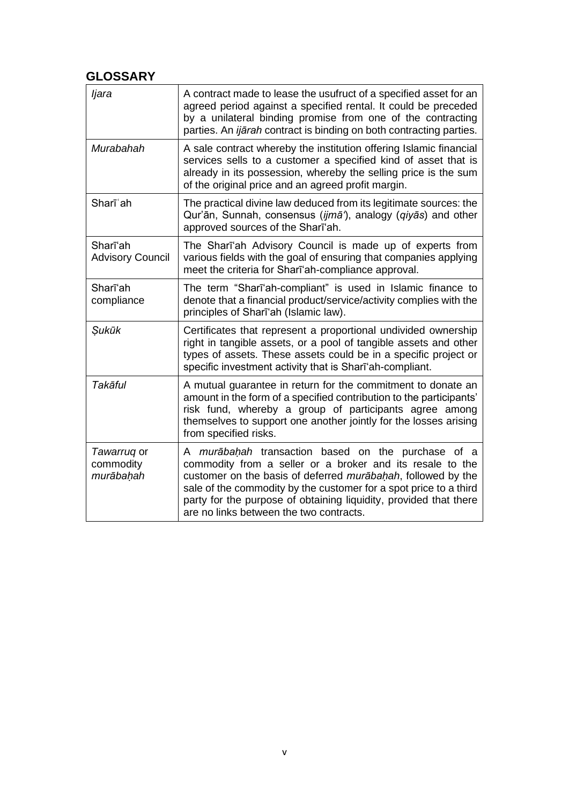### <span id="page-5-0"></span>**GLOSSARY**

| ljara                                 | A contract made to lease the usufruct of a specified asset for an<br>agreed period against a specified rental. It could be preceded<br>by a unilateral binding promise from one of the contracting<br>parties. An <i>ijārah</i> contract is binding on both contracting parties.                                                                                     |
|---------------------------------------|----------------------------------------------------------------------------------------------------------------------------------------------------------------------------------------------------------------------------------------------------------------------------------------------------------------------------------------------------------------------|
| Murabahah                             | A sale contract whereby the institution offering Islamic financial<br>services sells to a customer a specified kind of asset that is<br>already in its possession, whereby the selling price is the sum<br>of the original price and an agreed profit margin.                                                                                                        |
| Sharī <sup>'</sup> ah                 | The practical divine law deduced from its legitimate sources: the<br>Qur'ān, Sunnah, consensus (ijmā'), analogy (qiyās) and other<br>approved sources of the Sharī'ah.                                                                                                                                                                                               |
| Sharī'ah<br><b>Advisory Council</b>   | The Shari'ah Advisory Council is made up of experts from<br>various fields with the goal of ensuring that companies applying<br>meet the criteria for Shari'ah-compliance approval.                                                                                                                                                                                  |
| Sharīʻah<br>compliance                | The term "Sharī'ah-compliant" is used in Islamic finance to<br>denote that a financial product/service/activity complies with the<br>principles of Sharī'ah (Islamic law).                                                                                                                                                                                           |
| Sukūk                                 | Certificates that represent a proportional undivided ownership<br>right in tangible assets, or a pool of tangible assets and other<br>types of assets. These assets could be in a specific project or<br>specific investment activity that is Sharī'ah-compliant.                                                                                                    |
| Takāful                               | A mutual guarantee in return for the commitment to donate an<br>amount in the form of a specified contribution to the participants'<br>risk fund, whereby a group of participants agree among<br>themselves to support one another jointly for the losses arising<br>from specified risks.                                                                           |
| Tawarruq or<br>commodity<br>murābahah | A murābahah transaction based on the purchase of a<br>commodity from a seller or a broker and its resale to the<br>customer on the basis of deferred murabahah, followed by the<br>sale of the commodity by the customer for a spot price to a third<br>party for the purpose of obtaining liquidity, provided that there<br>are no links between the two contracts. |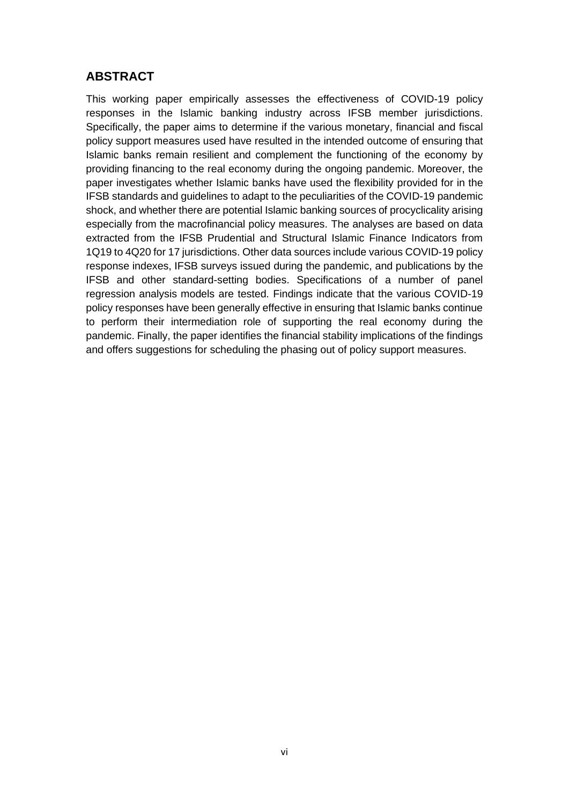### <span id="page-6-0"></span>**ABSTRACT**

This working paper empirically assesses the effectiveness of COVID-19 policy responses in the Islamic banking industry across IFSB member jurisdictions. Specifically, the paper aims to determine if the various monetary, financial and fiscal policy support measures used have resulted in the intended outcome of ensuring that Islamic banks remain resilient and complement the functioning of the economy by providing financing to the real economy during the ongoing pandemic. Moreover, the paper investigates whether Islamic banks have used the flexibility provided for in the IFSB standards and guidelines to adapt to the peculiarities of the COVID-19 pandemic shock, and whether there are potential Islamic banking sources of procyclicality arising especially from the macrofinancial policy measures. The analyses are based on data extracted from the IFSB Prudential and Structural Islamic Finance Indicators from 1Q19 to 4Q20 for 17 jurisdictions. Other data sources include various COVID-19 policy response indexes, IFSB surveys issued during the pandemic, and publications by the IFSB and other standard-setting bodies. Specifications of a number of panel regression analysis models are tested. Findings indicate that the various COVID-19 policy responses have been generally effective in ensuring that Islamic banks continue to perform their intermediation role of supporting the real economy during the pandemic. Finally, the paper identifies the financial stability implications of the findings and offers suggestions for scheduling the phasing out of policy support measures.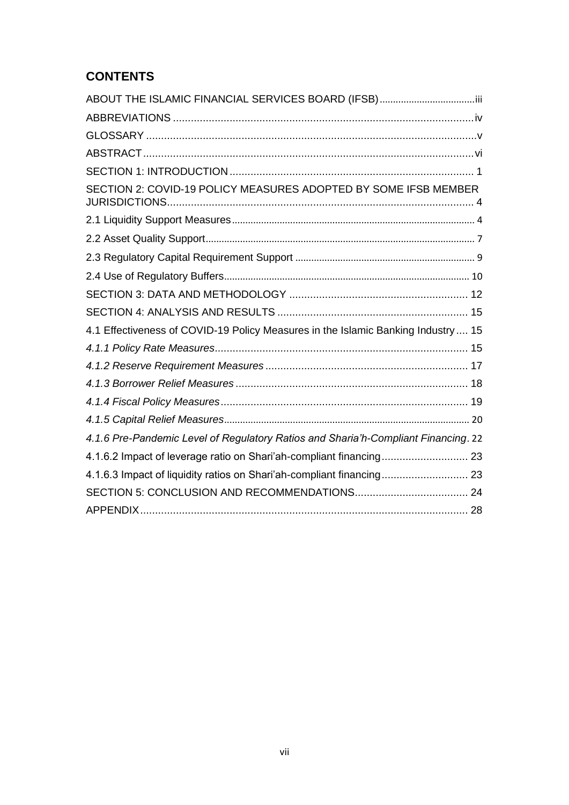### **CONTENTS**

| SECTION 2: COVID-19 POLICY MEASURES ADOPTED BY SOME IFSB MEMBER                    |  |
|------------------------------------------------------------------------------------|--|
|                                                                                    |  |
|                                                                                    |  |
|                                                                                    |  |
|                                                                                    |  |
|                                                                                    |  |
|                                                                                    |  |
| 4.1 Effectiveness of COVID-19 Policy Measures in the Islamic Banking Industry 15   |  |
|                                                                                    |  |
|                                                                                    |  |
|                                                                                    |  |
|                                                                                    |  |
|                                                                                    |  |
| 4.1.6 Pre-Pandemic Level of Regulatory Ratios and Sharia'h-Compliant Financing. 22 |  |
| 4.1.6.2 Impact of leverage ratio on Shari'ah-compliant financing 23                |  |
| 4.1.6.3 Impact of liquidity ratios on Shari'ah-compliant financing 23              |  |
|                                                                                    |  |
|                                                                                    |  |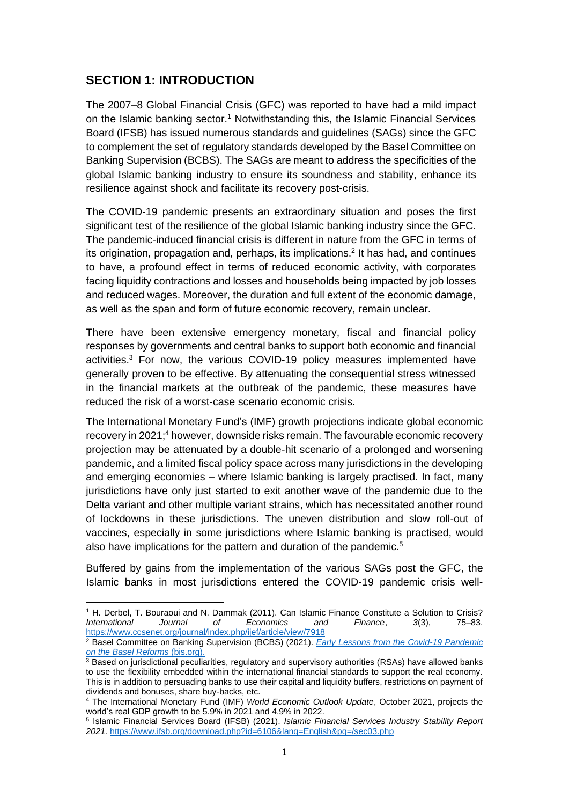### <span id="page-8-0"></span>**SECTION 1: INTRODUCTION**

The 2007–8 Global Financial Crisis (GFC) was reported to have had a mild impact on the Islamic banking sector.<sup>1</sup> Notwithstanding this, the Islamic Financial Services Board (IFSB) has issued numerous standards and guidelines (SAGs) since the GFC to complement the set of regulatory standards developed by the Basel Committee on Banking Supervision (BCBS). The SAGs are meant to address the specificities of the global Islamic banking industry to ensure its soundness and stability, enhance its resilience against shock and facilitate its recovery post-crisis.

The COVID-19 pandemic presents an extraordinary situation and poses the first significant test of the resilience of the global Islamic banking industry since the GFC. The pandemic-induced financial crisis is different in nature from the GFC in terms of its origination, propagation and, perhaps, its implications. 2 It has had, and continues to have, a profound effect in terms of reduced economic activity, with corporates facing liquidity contractions and losses and households being impacted by job losses and reduced wages. Moreover, the duration and full extent of the economic damage, as well as the span and form of future economic recovery, remain unclear.

There have been extensive emergency monetary, fiscal and financial policy responses by governments and central banks to support both economic and financial activities. <sup>3</sup> For now, the various COVID-19 policy measures implemented have generally proven to be effective. By attenuating the consequential stress witnessed in the financial markets at the outbreak of the pandemic, these measures have reduced the risk of a worst-case scenario economic crisis.

The International Monetary Fund's (IMF) growth projections indicate global economic recovery in 2021; <sup>4</sup> however, downside risks remain. The favourable economic recovery projection may be attenuated by a double-hit scenario of a prolonged and worsening pandemic, and a limited fiscal policy space across many jurisdictions in the developing and emerging economies – where Islamic banking is largely practised. In fact, many jurisdictions have only just started to exit another wave of the pandemic due to the Delta variant and other multiple variant strains, which has necessitated another round of lockdowns in these jurisdictions. The uneven distribution and slow roll-out of vaccines, especially in some jurisdictions where Islamic banking is practised, would also have implications for the pattern and duration of the pandemic.<sup>5</sup>

Buffered by gains from the implementation of the various SAGs post the GFC, the Islamic banks in most jurisdictions entered the COVID-19 pandemic crisis well-

<sup>&</sup>lt;sup>1</sup> H. Derbel, T. Bouraoui and N. Dammak (2011). Can Islamic Finance Constitute a Solution to Crisis?<br> *International Journal* of *Economics* and *Finance*, 3(3), 75–83. *International Journal* of *Economics* and *Finance*, 3(3), <https://www.ccsenet.org/journal/index.php/ijef/article/view/7918>

<sup>2</sup> Basel Committee on Banking Supervision (BCBS) (2021). *[Early Lessons from the Covid-19 Pandemic](https://www.bis.org/bcbs/publ/d521.htm)  on the [Basel Reforms](https://www.bis.org/bcbs/publ/d521.htm)* (bis.org).

<sup>&</sup>lt;sup>3</sup> Based on jurisdictional peculiarities, regulatory and supervisory authorities (RSAs) have allowed banks to use the flexibility embedded within the international financial standards to support the real economy. This is in addition to persuading banks to use their capital and liquidity buffers, restrictions on payment of dividends and bonuses, share buy-backs, etc.

<sup>4</sup> The International Monetary Fund (IMF) *World Economic Outlook Update*, October 2021, projects the world's real GDP growth to be 5.9% in 2021 and 4.9% in 2022.

<sup>5</sup> Islamic Financial Services Board (IFSB) (2021). *Islamic Financial Services Industry Stability Report 2021.* <https://www.ifsb.org/download.php?id=6106&lang=English&pg=/sec03.php>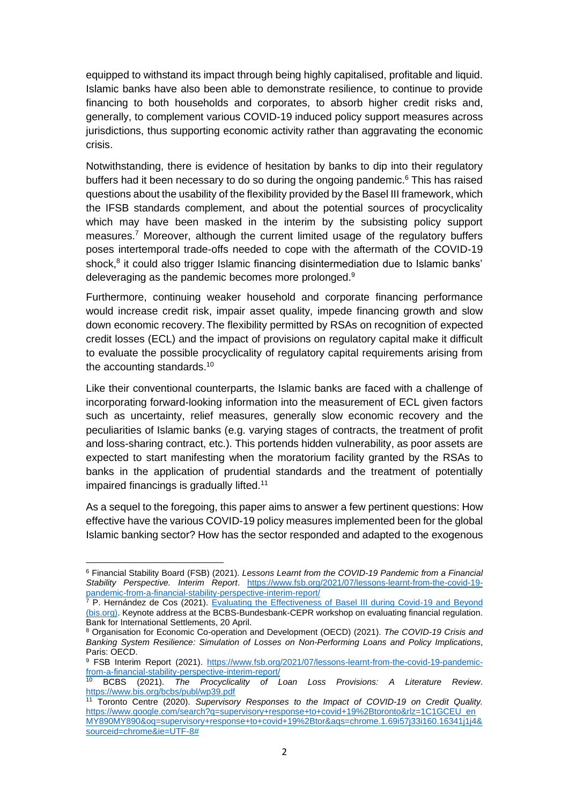equipped to withstand its impact through being highly capitalised, profitable and liquid. Islamic banks have also been able to demonstrate resilience, to continue to provide financing to both households and corporates, to absorb higher credit risks and, generally, to complement various COVID-19 induced policy support measures across jurisdictions, thus supporting economic activity rather than aggravating the economic crisis.

Notwithstanding, there is evidence of hesitation by banks to dip into their regulatory buffers had it been necessary to do so during the ongoing pandemic. <sup>6</sup> This has raised questions about the usability of the flexibility provided by the Basel III framework, which the IFSB standards complement, and about the potential sources of procyclicality which may have been masked in the interim by the subsisting policy support measures.<sup>7</sup> Moreover, although the current limited usage of the regulatory buffers poses intertemporal trade-offs needed to cope with the aftermath of the COVID-19 shock,<sup>8</sup> it could also trigger Islamic financing disintermediation due to Islamic banks' deleveraging as the pandemic becomes more prolonged.<sup>9</sup>

Furthermore, continuing weaker household and corporate financing performance would increase credit risk, impair asset quality, impede financing growth and slow down economic recovery.The flexibility permitted by RSAs on recognition of expected credit losses (ECL) and the impact of provisions on regulatory capital make it difficult to evaluate the possible procyclicality of regulatory capital requirements arising from the accounting standards.<sup>10</sup>

Like their conventional counterparts, the Islamic banks are faced with a challenge of incorporating forward-looking information into the measurement of ECL given factors such as uncertainty, relief measures, generally slow economic recovery and the peculiarities of Islamic banks (e.g. varying stages of contracts, the treatment of profit and loss-sharing contract, etc.). This portends hidden vulnerability, as poor assets are expected to start manifesting when the moratorium facility granted by the RSAs to banks in the application of prudential standards and the treatment of potentially impaired financings is gradually lifted.<sup>11</sup>

As a sequel to the foregoing, this paper aims to answer a few pertinent questions: How effective have the various COVID-19 policy measures implemented been for the global Islamic banking sector? How has the sector responded and adapted to the exogenous

<sup>6</sup> Financial Stability Board (FSB) (2021). *Lessons Learnt from the COVID-19 Pandemic from a Financial Stability Perspective. Interim Report*. [https://www.fsb.org/2021/07/lessons-learnt-from-the-covid-19](https://www.fsb.org/2021/07/lessons-learnt-from-the-covid-19-pandemic-from-a-financial-stability-perspective-interim-report/) [pandemic-from-a-financial-stability-perspective-interim-report/](https://www.fsb.org/2021/07/lessons-learnt-from-the-covid-19-pandemic-from-a-financial-stability-perspective-interim-report/)

<sup>&</sup>lt;sup>7</sup> P. Hernández de Cos (2021). Evaluating the Effectiveness of Basel III during Covid-19 and Beyond [\(bis.org\).](https://www.bis.org/speeches/sp210420.pdf) Keynote address at the BCBS-Bundesbank-CEPR workshop on evaluating financial regulation. Bank for International Settlements, 20 April.

<sup>8</sup> Organisation for Economic Co-operation and Development (OECD) (2021). *The COVID-19 Crisis and Banking System Resilience: Simulation of Losses on Non-Performing Loans and Policy Implications*, Paris: OECD.

<sup>&</sup>lt;sup>9</sup> FSB Interim Report (2021). [https://www.fsb.org/2021/07/lessons-learnt-from-the-covid-19-pandemic](https://www.fsb.org/2021/07/lessons-learnt-from-the-covid-19-pandemic-from-a-financial-stability-perspective-interim-report/)[from-a-financial-stability-perspective-interim-report/](https://www.fsb.org/2021/07/lessons-learnt-from-the-covid-19-pandemic-from-a-financial-stability-perspective-interim-report/)

<sup>10</sup> BCBS (2021). *The Procyclicality of Loan Loss Provisions: A Literature Review*. <https://www.bis.org/bcbs/publ/wp39.pdf>

<sup>11</sup> Toronto Centre (2020). *Supervisory Responses to the Impact of COVID-19 on Credit Quality.* [https://www.google.com/search?q=supervisory+response+to+covid+19%2Btoronto&rlz=1C1GCEU\\_en](https://www.google.com/search?q=supervisory+response+to+covid+19%2Btoronto&rlz=1C1GCEU_enMY890MY890&oq=supervisory+response+to+covid+19%2Btor&aqs=chrome.1.69i57j33i160.16341j1j4&sourceid=chrome&ie=UTF-8) [MY890MY890&oq=supervisory+response+to+covid+19%2Btor&aqs=chrome.1.69i57j33i160.16341j1j4&](https://www.google.com/search?q=supervisory+response+to+covid+19%2Btoronto&rlz=1C1GCEU_enMY890MY890&oq=supervisory+response+to+covid+19%2Btor&aqs=chrome.1.69i57j33i160.16341j1j4&sourceid=chrome&ie=UTF-8) [sourceid=chrome&ie=UTF-8#](https://www.google.com/search?q=supervisory+response+to+covid+19%2Btoronto&rlz=1C1GCEU_enMY890MY890&oq=supervisory+response+to+covid+19%2Btor&aqs=chrome.1.69i57j33i160.16341j1j4&sourceid=chrome&ie=UTF-8)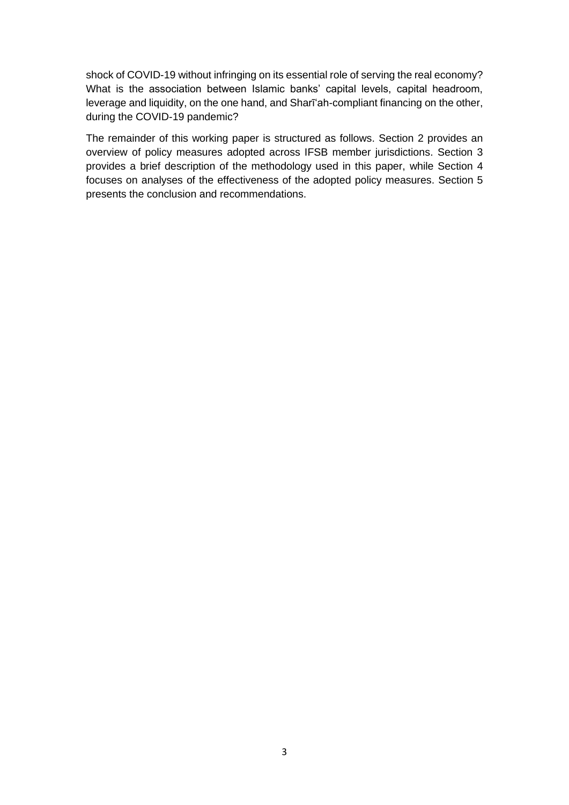shock of COVID-19 without infringing on its essential role of serving the real economy? What is the association between Islamic banks' capital levels, capital headroom, leverage and liquidity, on the one hand, and Sharīʻah-compliant financing on the other, during the COVID-19 pandemic?

The remainder of this working paper is structured as follows. Section 2 provides an overview of policy measures adopted across IFSB member jurisdictions. Section 3 provides a brief description of the methodology used in this paper, while Section 4 focuses on analyses of the effectiveness of the adopted policy measures. Section 5 presents the conclusion and recommendations.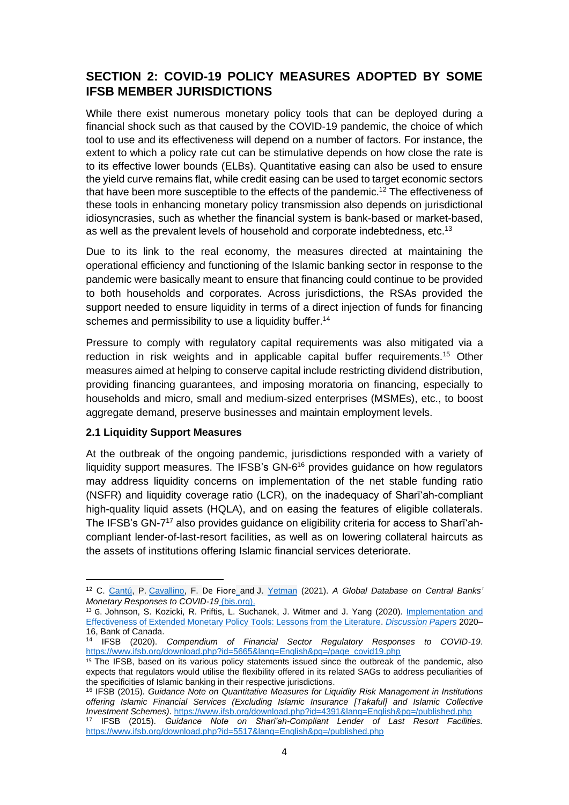### <span id="page-11-0"></span>**SECTION 2: COVID-19 POLICY MEASURES ADOPTED BY SOME IFSB MEMBER JURISDICTIONS**

While there exist numerous monetary policy tools that can be deployed during a financial shock such as that caused by the COVID-19 pandemic, the choice of which tool to use and its effectiveness will depend on a number of factors. For instance, the extent to which a policy rate cut can be stimulative depends on how close the rate is to its effective lower bounds (ELBs). Quantitative easing can also be used to ensure the yield curve remains flat, while credit easing can be used to target economic sectors that have been more susceptible to the effects of the pandemic.<sup>12</sup> The effectiveness of these tools in enhancing monetary policy transmission also depends on jurisdictional idiosyncrasies, such as whether the financial system is bank-based or market-based, as well as the prevalent levels of household and corporate indebtedness, etc.<sup>13</sup>

Due to its link to the real economy, the measures directed at maintaining the operational efficiency and functioning of the Islamic banking sector in response to the pandemic were basically meant to ensure that financing could continue to be provided to both households and corporates. Across jurisdictions, the RSAs provided the support needed to ensure liquidity in terms of a direct injection of funds for financing schemes and permissibility to use a liquidity buffer.<sup>14</sup>

Pressure to comply with regulatory capital requirements was also mitigated via a reduction in risk weights and in applicable capital buffer requirements.<sup>15</sup> Other measures aimed at helping to conserve capital include restricting dividend distribution, providing financing guarantees, and imposing moratoria on financing, especially to households and micro, small and medium-sized enterprises (MSMEs), etc., to boost aggregate demand, preserve businesses and maintain employment levels.

#### <span id="page-11-1"></span>**2.1 Liquidity Support Measures**

At the outbreak of the ongoing pandemic, jurisdictions responded with a variety of liquidity support measures. The IFSB's GN-6<sup>16</sup> provides guidance on how regulators may address liquidity concerns on implementation of the net stable funding ratio (NSFR) and liquidity coverage ratio (LCR), on the inadequacy of Sharīʻah-compliant high-quality liquid assets (HQLA), and on easing the features of eligible collaterals. The IFSB's GN-7<sup>17</sup> also provides guidance on eligibility criteria for access to Shari'ahcompliant lender-of-last-resort facilities, as well as on lowering collateral haircuts as the assets of institutions offering Islamic financial services deteriorate.

<sup>12</sup> C. [Cantú,](https://www.bis.org/author/carlos_cant%c3%ba.htm) P. [Cavallino,](https://www.bis.org/author/paolo_cavallino.htm) F. De Fiore and J. [Yetman](https://www.bis.org/author/james_yetman.htm) (2021). *A Global Database on Central Banks' Monetary Responses to COVID-19* [\(bis.org\).](https://www.bis.org/publ/work934.htm)

<sup>&</sup>lt;sup>13</sup> G. Johnson, S. Kozicki, R. Priftis, L. Suchanek, J. Witmer and J. Yang (2020). Implementation and [Effectiveness of Extended Monetary Policy Tools: Lessons from the Literature.](https://ideas.repec.org/p/bca/bocadp/20-16.html) *[Discussion Papers](https://ideas.repec.org/s/bca/bocadp.html)* 2020– 16, Bank of Canada.

<sup>14</sup> IFSB (2020). *Compendium of Financial Sector Regulatory Responses to COVID-19*. [https://www.ifsb.org/download.php?id=5665&lang=English&pg=/page\\_covid19.php](https://www.ifsb.org/download.php?id=5665&lang=English&pg=/page_covid19.php)

<sup>&</sup>lt;sup>15</sup> The IFSB, based on its various policy statements issued since the outbreak of the pandemic, also expects that regulators would utilise the flexibility offered in its related SAGs to address peculiarities of the specificities of Islamic banking in their respective jurisdictions.

<sup>16</sup> IFSB (2015). *Guidance Note on Quantitative Measures for Liquidity Risk Management in Institutions offering Islamic Financial Services (Excluding Islamic Insurance [Takaful] and Islamic Collective Investment Schemes)*.<https://www.ifsb.org/download.php?id=4391&lang=English&pg=/published.php>

<sup>17</sup> IFSB (2015). *Guidance Note on Shari'ah-Compliant Lender of Last Resort Facilities.*  <https://www.ifsb.org/download.php?id=5517&lang=English&pg=/published.php>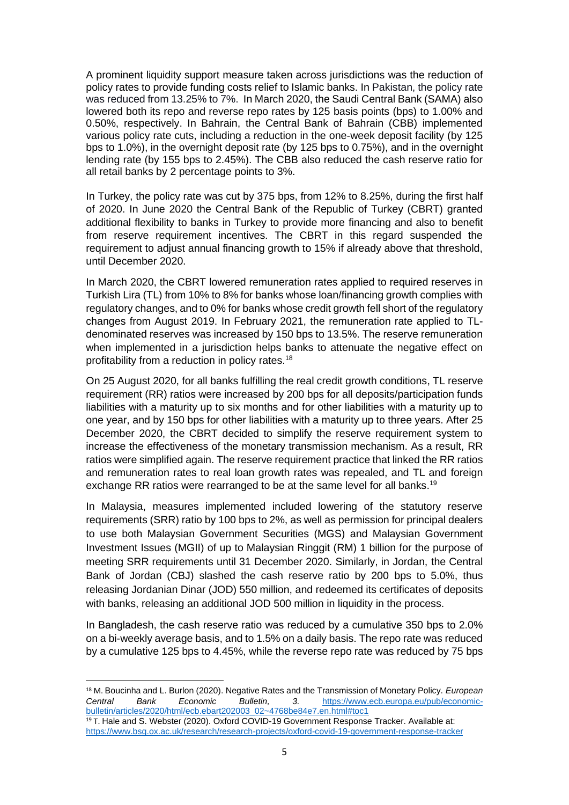A prominent liquidity support measure taken across jurisdictions was the reduction of policy rates to provide funding costs relief to Islamic banks. In Pakistan, the policy rate was reduced from 13.25% to 7%. In March 2020, the Saudi Central Bank (SAMA) also lowered both its repo and reverse repo rates by 125 basis points (bps) to 1.00% and 0.50%, respectively. In Bahrain, the Central Bank of Bahrain (CBB) implemented various policy rate cuts, including a reduction in the one-week deposit facility (by 125 bps to 1.0%), in the overnight deposit rate (by 125 bps to 0.75%), and in the overnight lending rate (by 155 bps to 2.45%). The CBB also reduced the cash reserve ratio for all retail banks by 2 percentage points to 3%.

In Turkey, the policy rate was cut by 375 bps, from 12% to 8.25%, during the first half of 2020. In June 2020 the Central Bank of the Republic of Turkey (CBRT) granted additional flexibility to banks in Turkey to provide more financing and also to benefit from reserve requirement incentives. The CBRT in this regard suspended the requirement to adjust annual financing growth to 15% if already above that threshold, until December 2020.

In March 2020, the CBRT lowered remuneration rates applied to required reserves in Turkish Lira (TL) from 10% to 8% for banks whose loan/financing growth complies with regulatory changes, and to 0% for banks whose credit growth fell short of the regulatory changes from August 2019. In February 2021, the remuneration rate applied to TLdenominated reserves was increased by 150 bps to 13.5%. The reserve remuneration when implemented in a jurisdiction helps banks to attenuate the negative effect on profitability from a reduction in policy rates.<sup>18</sup>

On 25 August 2020, for all banks fulfilling the real credit growth conditions, TL reserve requirement (RR) ratios were increased by 200 bps for all deposits/participation funds liabilities with a maturity up to six months and for other liabilities with a maturity up to one year, and by 150 bps for other liabilities with a maturity up to three years. After 25 December 2020, the CBRT decided to simplify the reserve requirement system to increase the effectiveness of the monetary transmission mechanism. As a result, RR ratios were simplified again. The reserve requirement practice that linked the RR ratios and remuneration rates to real loan growth rates was repealed, and TL and foreign exchange RR ratios were rearranged to be at the same level for all banks.<sup>19</sup>

In Malaysia, measures implemented included lowering of the statutory reserve requirements (SRR) ratio by 100 bps to 2%, as well as permission for principal dealers to use both Malaysian Government Securities (MGS) and Malaysian Government Investment Issues (MGII) of up to Malaysian Ringgit (RM) 1 billion for the purpose of meeting SRR requirements until 31 December 2020. Similarly, in Jordan, the Central Bank of Jordan (CBJ) slashed the cash reserve ratio by 200 bps to 5.0%, thus releasing Jordanian Dinar (JOD) 550 million, and redeemed its certificates of deposits with banks, releasing an additional JOD 500 million in liquidity in the process.

In Bangladesh, the cash reserve ratio was reduced by a cumulative 350 bps to 2.0% on a bi-weekly average basis, and to 1.5% on a daily basis. The repo rate was reduced by a cumulative 125 bps to 4.45%, while the reverse repo rate was reduced by 75 bps

<sup>18</sup> M. Boucinha and L. Burlon (2020). Negative Rates and the Transmission of Monetary Policy. *European Central Bank Economic Bulletin, 3.* [https://www.ecb.europa.eu/pub/economic](https://www.ecb.europa.eu/pub/economic-bulletin/articles/2020/html/ecb.ebart202003_02~4768be84e7.en.html#toc1)[bulletin/articles/2020/html/ecb.ebart202003\\_02~4768be84e7.en.html#toc1](https://www.ecb.europa.eu/pub/economic-bulletin/articles/2020/html/ecb.ebart202003_02~4768be84e7.en.html#toc1)

<sup>19</sup> T. Hale and S. Webster (2020). Oxford COVID-19 Government Response Tracker. Available at: <https://www.bsg.ox.ac.uk/research/research-projects/oxford-covid-19-government-response-tracker>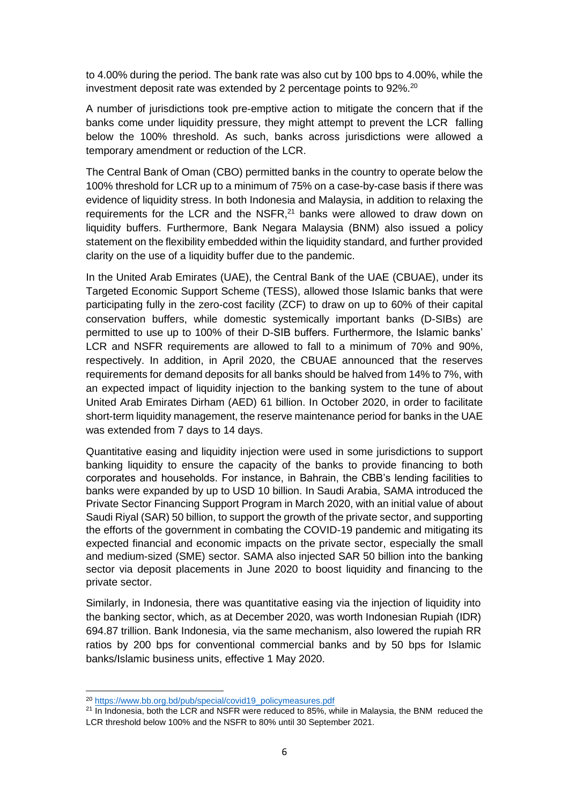to 4.00% during the period. The bank rate was also cut by 100 bps to 4.00%, while the investment deposit rate was extended by 2 percentage points to 92%.<sup>20</sup>

A number of jurisdictions took pre-emptive action to mitigate the concern that if the banks come under liquidity pressure, they might attempt to prevent the LCR falling below the 100% threshold. As such, banks across jurisdictions were allowed a temporary amendment or reduction of the LCR.

The Central Bank of Oman (CBO) permitted banks in the country to operate below the 100% threshold for LCR up to a minimum of 75% on a case-by-case basis if there was evidence of liquidity stress. In both Indonesia and Malaysia, in addition to relaxing the requirements for the LCR and the NSFR, $21$  banks were allowed to draw down on liquidity buffers. Furthermore, Bank Negara Malaysia (BNM) also issued a policy statement on the flexibility embedded within the liquidity standard, and further provided clarity on the use of a liquidity buffer due to the pandemic.

In the United Arab Emirates (UAE), the Central Bank of the UAE (CBUAE), under its Targeted Economic Support Scheme (TESS), allowed those Islamic banks that were participating fully in the zero-cost facility (ZCF) to draw on up to 60% of their capital conservation buffers, while domestic systemically important banks (D-SIBs) are permitted to use up to 100% of their D-SIB buffers. Furthermore, the Islamic banks' LCR and NSFR requirements are allowed to fall to a minimum of 70% and 90%, respectively. In addition, in April 2020, the CBUAE announced that the reserves requirements for demand deposits for all banks should be halved from 14% to 7%, with an expected impact of liquidity injection to the banking system to the tune of about United Arab Emirates Dirham (AED) 61 billion. In October 2020, in order to facilitate short-term liquidity management, the reserve maintenance period for banks in the UAE was extended from 7 days to 14 days.

Quantitative easing and liquidity injection were used in some jurisdictions to support banking liquidity to ensure the capacity of the banks to provide financing to both corporates and households. For instance, in Bahrain, the CBB's lending facilities to banks were expanded by up to USD 10 billion. In Saudi Arabia, SAMA introduced the Private Sector Financing Support Program in March 2020, with an initial value of about Saudi Riyal (SAR) 50 billion, to support the growth of the private sector, and supporting the efforts of the government in combating the COVID-19 pandemic and mitigating its expected financial and economic impacts on the private sector, especially the small and medium-sized (SME) sector. SAMA also injected SAR 50 billion into the banking sector via deposit placements in June 2020 to boost liquidity and financing to the private sector.

Similarly, in Indonesia, there was quantitative easing via the injection of liquidity into the banking sector, which, as at December 2020, was worth Indonesian Rupiah (IDR) 694.87 trillion. Bank Indonesia, via the same mechanism, also lowered the rupiah RR ratios by 200 bps for conventional commercial banks and by 50 bps for Islamic banks/Islamic business units, effective 1 May 2020.

<sup>20</sup> [https://www.bb.org.bd/pub/special/covid19\\_policymeasures.pdf](https://www.bb.org.bd/pub/special/covid19_policymeasures.pdf)

 $21$  In Indonesia, both the LCR and NSFR were reduced to 85%, while in Malaysia, the BNM reduced the LCR threshold below 100% and the NSFR to 80% until 30 September 2021.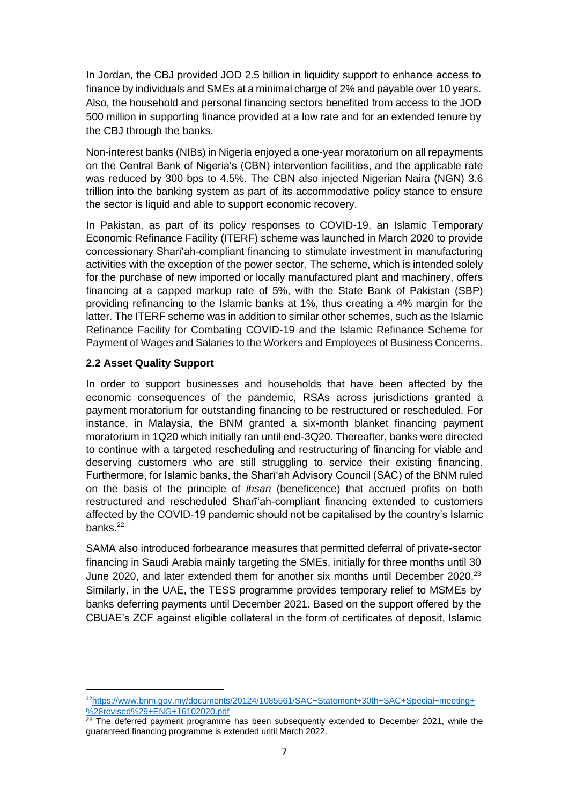In Jordan, the CBJ provided JOD 2.5 billion in liquidity support to enhance access to finance by individuals and SMEs at a minimal charge of 2% and payable over 10 years. Also, the household and personal financing sectors benefited from access to the JOD 500 million in supporting finance provided at a low rate and for an extended tenure by the CBJ through the banks.

Non-interest banks (NIBs) in Nigeria enjoyed a one-year moratorium on all repayments on the Central Bank of Nigeria's (CBN) intervention facilities, and the applicable rate was reduced by 300 bps to 4.5%. The CBN also injected Nigerian Naira (NGN) 3.6 trillion into the banking system as part of its accommodative policy stance to ensure the sector is liquid and able to support economic recovery.

In Pakistan, as part of its policy responses to COVID-19, an Islamic Temporary Economic Refinance Facility (ITERF) scheme was launched in March 2020 to provide concessionary Sharīʻah-compliant financing to stimulate investment in manufacturing activities with the exception of the power sector. The scheme, which is intended solely for the purchase of new imported or locally manufactured plant and machinery, offers financing at a capped markup rate of 5%, with the State Bank of Pakistan (SBP) providing refinancing to the Islamic banks at 1%, thus creating a 4% margin for the latter. The ITERF scheme was in addition to similar other schemes, such as the Islamic Refinance Facility for Combating COVID-19 and the Islamic Refinance Scheme for Payment of Wages and Salaries to the Workers and Employees of Business Concerns.

#### <span id="page-14-0"></span>**2.2 Asset Quality Support**

In order to support businesses and households that have been affected by the economic consequences of the pandemic, RSAs across jurisdictions granted a payment moratorium for outstanding financing to be restructured or rescheduled. For instance, in Malaysia, the BNM granted a six-month blanket financing payment moratorium in 1Q20 which initially ran until end-3Q20. Thereafter, banks were directed to continue with a targeted rescheduling and restructuring of financing for viable and deserving customers who are still struggling to service their existing financing. Furthermore, for Islamic banks, the Sharīʻah Advisory Council (SAC) of the BNM ruled on the basis of the principle of *ihsan* (beneficence) that accrued profits on both restructured and rescheduled Sharīʻah-compliant financing extended to customers affected by the COVID-19 pandemic should not be capitalised by the country's Islamic banks.<sup>22</sup>

SAMA also introduced forbearance measures that permitted deferral of private-sector financing in Saudi Arabia mainly targeting the SMEs, initially for three months until 30 June 2020, and later extended them for another six months until December 2020.<sup>23</sup> Similarly, in the UAE, the TESS programme provides temporary relief to MSMEs by banks deferring payments until December 2021. Based on the support offered by the CBUAE's ZCF against eligible collateral in the form of certificates of deposit, Islamic

<sup>22</sup>[https://www.bnm.gov.my/documents/20124/1085561/SAC+Statement+30th+SAC+Special+meeting+](https://www.bnm.gov.my/documents/20124/1085561/SAC+Statement+30th+SAC+Special+meeting+%28revised%29+ENG+16102020.pdf) [%28revised%29+ENG+16102020.pdf](https://www.bnm.gov.my/documents/20124/1085561/SAC+Statement+30th+SAC+Special+meeting+%28revised%29+ENG+16102020.pdf)

 $23$  The deferred payment programme has been subsequently extended to December 2021, while the guaranteed financing programme is extended until March 2022.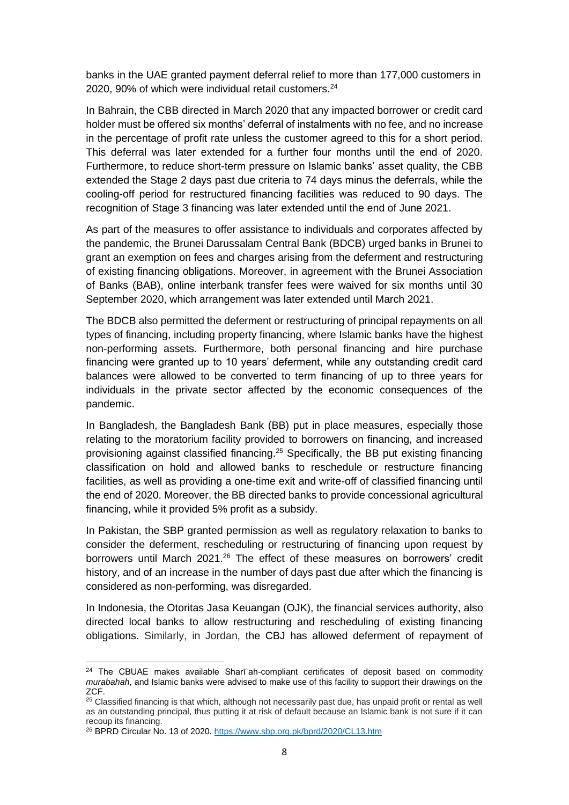banks in the UAE granted payment deferral relief to more than 177,000 customers in 2020, 90% of which were individual retail customers.<sup>24</sup>

In Bahrain, the CBB directed in March 2020 that any impacted borrower or credit card holder must be offered six months' deferral of instalments with no fee, and no increase in the percentage of profit rate unless the customer agreed to this for a short period. This deferral was later extended for a further four months until the end of 2020. Furthermore, to reduce short-term pressure on Islamic banks' asset quality, the CBB extended the Stage 2 days past due criteria to 74 days minus the deferrals, while the cooling-off period for restructured financing facilities was reduced to 90 days. The recognition of Stage 3 financing was later extended until the end of June 2021.

As part of the measures to offer assistance to individuals and corporates affected by the pandemic, the Brunei Darussalam Central Bank (BDCB) urged banks in Brunei to grant an exemption on fees and charges arising from the deferment and restructuring of existing financing obligations. Moreover, in agreement with the Brunei Association of Banks (BAB), online interbank transfer fees were waived for six months until 30 September 2020, which arrangement was later extended until March 2021.

The BDCB also permitted the deferment or restructuring of principal repayments on all types of financing, including property financing, where Islamic banks have the highest non-performing assets. Furthermore, both personal financing and hire purchase financing were granted up to 10 years' deferment, while any outstanding credit card balances were allowed to be converted to term financing of up to three years for individuals in the private sector affected by the economic consequences of the pandemic.

In Bangladesh, the Bangladesh Bank (BB) put in place measures, especially those relating to the moratorium facility provided to borrowers on financing, and increased provisioning against classified financing.<sup>25</sup> Specifically, the BB put existing financing classification on hold and allowed banks to reschedule or restructure financing facilities, as well as providing a one-time exit and write-off of classified financing until the end of 2020. Moreover, the BB directed banks to provide concessional agricultural financing, while it provided 5% profit as a subsidy.

In Pakistan, the SBP granted permission as well as regulatory relaxation to banks to consider the deferment, rescheduling or restructuring of financing upon request by borrowers until March 2021.<sup>26</sup> The effect of these measures on borrowers' credit history, and of an increase in the number of days past due after which the financing is considered as non-performing, was disregarded.

In Indonesia, the Otoritas Jasa Keuangan (OJK), the financial services authority, also directed local banks to allow restructuring and rescheduling of existing financing obligations. Similarly, in Jordan, the CBJ has allowed deferment of repayment of

<sup>&</sup>lt;sup>24</sup> The CBUAE makes available Sharī'ah-compliant certificates of deposit based on commodity *murabahah*, and Islamic banks were advised to make use of this facility to support their drawings on the ZCF.

<sup>&</sup>lt;sup>25</sup> Classified financing is that which, although not necessarily past due, has unpaid profit or rental as well as an outstanding principal, thus putting it at risk of default because an Islamic bank is not sure if it can recoup its financing.

<sup>&</sup>lt;sup>26</sup> BPRD Circular No. 13 of 2020. <https://www.sbp.org.pk/bprd/2020/CL13.htm>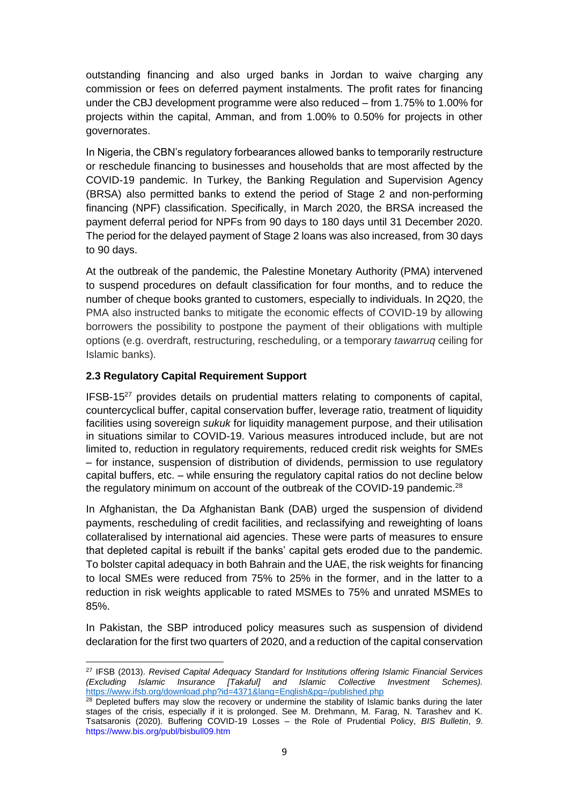outstanding financing and also urged banks in Jordan to waive charging any commission or fees on deferred payment instalments. The profit rates for financing under the CBJ development programme were also reduced – from 1.75% to 1.00% for projects within the capital, Amman, and from 1.00% to 0.50% for projects in other governorates.

In Nigeria, the CBN's regulatory forbearances allowed banks to temporarily restructure or reschedule financing to businesses and households that are most affected by the COVID-19 pandemic. In Turkey, the Banking Regulation and Supervision Agency (BRSA) also permitted banks to extend the period of Stage 2 and non-performing financing (NPF) classification. Specifically, in March 2020, the BRSA increased the payment deferral period for NPFs from 90 days to 180 days until 31 December 2020. The period for the delayed payment of Stage 2 loans was also increased, from 30 days to 90 days.

At the outbreak of the pandemic, the Palestine Monetary Authority (PMA) intervened to suspend procedures on default classification for four months, and to reduce the number of cheque books granted to customers, especially to individuals. In 2Q20, the PMA also instructed banks to mitigate the economic effects of COVID-19 by allowing borrowers the possibility to postpone the payment of their obligations with multiple options (e.g. overdraft, restructuring, rescheduling, or a temporary *tawarruq* ceiling for Islamic banks).

#### <span id="page-16-0"></span>**2.3 Regulatory Capital Requirement Support**

 $IFSB-15<sup>27</sup>$  provides details on prudential matters relating to components of capital. countercyclical buffer, capital conservation buffer, leverage ratio, treatment of liquidity facilities using sovereign *sukuk* for liquidity management purpose, and their utilisation in situations similar to COVID-19. Various measures introduced include, but are not limited to, reduction in regulatory requirements, reduced credit risk weights for SMEs – for instance, suspension of distribution of dividends, permission to use regulatory capital buffers, etc. – while ensuring the regulatory capital ratios do not decline below the regulatory minimum on account of the outbreak of the COVID-19 pandemic.<sup>28</sup>

In Afghanistan, the Da Afghanistan Bank (DAB) urged the suspension of dividend payments, rescheduling of credit facilities, and reclassifying and reweighting of loans collateralised by international aid agencies. These were parts of measures to ensure that depleted capital is rebuilt if the banks' capital gets eroded due to the pandemic. To bolster capital adequacy in both Bahrain and the UAE, the risk weights for financing to local SMEs were reduced from 75% to 25% in the former, and in the latter to a reduction in risk weights applicable to rated MSMEs to 75% and unrated MSMEs to 85%.

In Pakistan, the SBP introduced policy measures such as suspension of dividend declaration for the first two quarters of 2020, and a reduction of the capital conservation

<sup>27</sup> IFSB (2013). *Revised Capital Adequacy Standard for Institutions offering Islamic Financial Services (Excluding Islamic Insurance [Takaful] and Islamic Collective Investment Schemes).* <https://www.ifsb.org/download.php?id=4371&lang=English&pg=/published.php>

<sup>&</sup>lt;sup>28</sup> Depleted buffers may slow the recovery or undermine the stability of Islamic banks during the later stages of the crisis, especially if it is prolonged. See M. Drehmann, M. Farag, N. Tarashev and K. Tsatsaronis (2020). Buffering COVID-19 Losses – the Role of Prudential Policy, *BIS Bulletin*, *9*. https://www.bis.org/publ/bisbull09.htm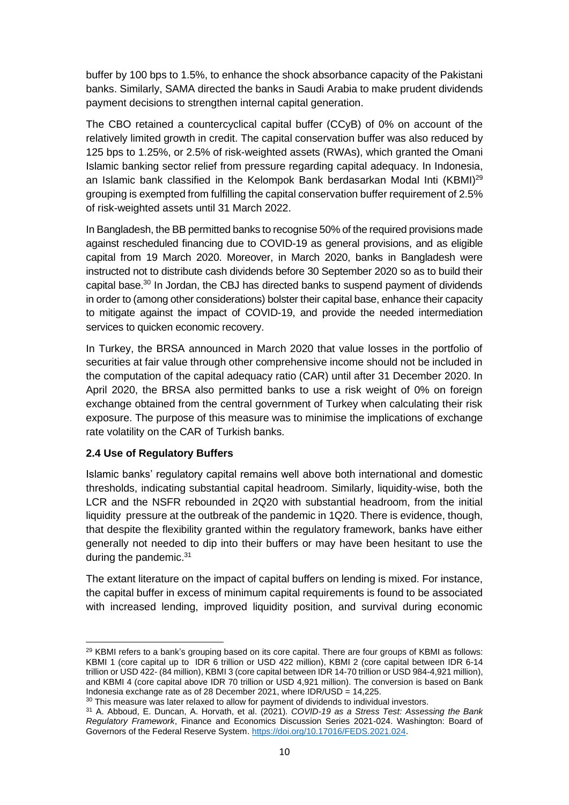buffer by 100 bps to 1.5%, to enhance the shock absorbance capacity of the Pakistani banks. Similarly, SAMA directed the banks in Saudi Arabia to make prudent dividends payment decisions to strengthen internal capital generation.

The CBO retained a countercyclical capital buffer (CCyB) of 0% on account of the relatively limited growth in credit. The capital conservation buffer was also reduced by 125 bps to 1.25%, or 2.5% of risk-weighted assets (RWAs), which granted the Omani Islamic banking sector relief from pressure regarding capital adequacy. In Indonesia, an Islamic bank classified in the Kelompok Bank berdasarkan Modal Inti (KBMI)<sup>29</sup> grouping is exempted from fulfilling the capital conservation buffer requirement of 2.5% of risk-weighted assets until 31 March 2022.

In Bangladesh, the BB permitted banks to recognise 50% of the required provisions made against rescheduled financing due to COVID-19 as general provisions, and as eligible capital from 19 March 2020. Moreover, in March 2020, banks in Bangladesh were instructed not to distribute cash dividends before 30 September 2020 so as to build their capital base. $30$  In Jordan, the CBJ has directed banks to suspend payment of dividends in order to (among other considerations) bolster their capital base, enhance their capacity to mitigate against the impact of COVID-19, and provide the needed intermediation services to quicken economic recovery.

In Turkey, the BRSA announced in March 2020 that value losses in the portfolio of securities at fair value through other comprehensive income should not be included in the computation of the capital adequacy ratio (CAR) until after 31 December 2020. In April 2020, the BRSA also permitted banks to use a risk weight of 0% on foreign exchange obtained from the central government of Turkey when calculating their risk exposure. The purpose of this measure was to minimise the implications of exchange rate volatility on the CAR of Turkish banks.

#### <span id="page-17-0"></span>**2.4 Use of Regulatory Buffers**

Islamic banks' regulatory capital remains well above both international and domestic thresholds, indicating substantial capital headroom. Similarly, liquidity-wise, both the LCR and the NSFR rebounded in 2Q20 with substantial headroom, from the initial liquidity pressure at the outbreak of the pandemic in 1Q20. There is evidence, though, that despite the flexibility granted within the regulatory framework, banks have either generally not needed to dip into their buffers or may have been hesitant to use the during the pandemic. $31$ 

The extant literature on the impact of capital buffers on lending is mixed. For instance, the capital buffer in excess of minimum capital requirements is found to be associated with increased lending, improved liquidity position, and survival during economic

 $29$  KBMI refers to a bank's grouping based on its core capital. There are four groups of KBMI as follows: KBMI 1 (core capital up to IDR 6 trillion or USD 422 million), KBMI 2 (core capital between IDR 6-14 trillion or USD 422- (84 million), KBMI 3 (core capital between IDR 14-70 trillion or USD 984-4,921 million), and KBMI 4 (core capital above IDR 70 trillion or USD 4,921 million). The conversion is based on Bank Indonesia exchange rate as of 28 December 2021, where IDR/USD = 14,225.

<sup>&</sup>lt;sup>30</sup> This measure was later relaxed to allow for payment of dividends to individual investors.

<sup>31</sup> A. Abboud, E. Duncan, A. Horvath, et al. (2021). *COVID-19 as a Stress Test: Assessing the Bank Regulatory Framework*, Finance and Economics Discussion Series 2021-024. Washington: Board of Governors of the Federal Reserve System. [https://doi.org/10.17016/FEDS.2021.024.](https://doi.org/10.17016/FEDS.2021.024)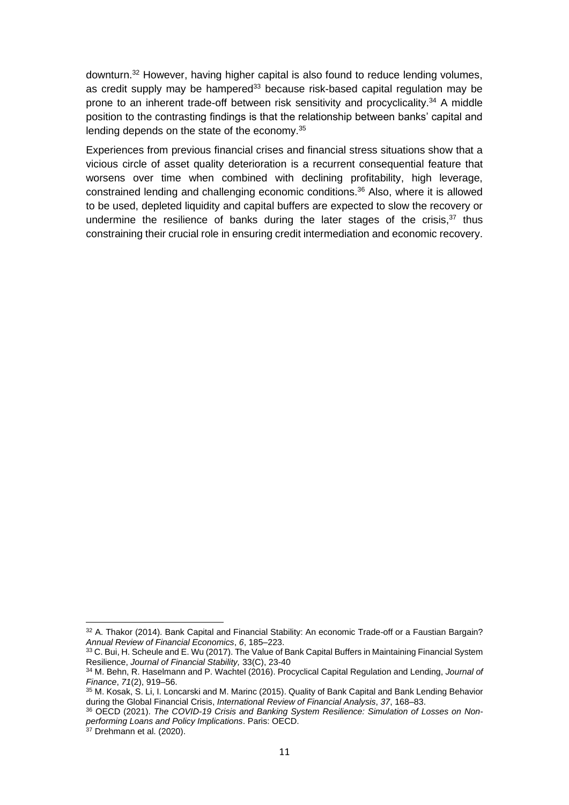downturn.<sup>32</sup> However, having higher capital is also found to reduce lending volumes, as credit supply may be hampered<sup>33</sup> because risk-based capital regulation may be prone to an inherent trade-off between risk sensitivity and procyclicality.<sup>34</sup> A middle position to the contrasting findings is that the relationship between banks' capital and lending depends on the state of the economy.<sup>35</sup>

Experiences from previous financial crises and financial stress situations show that a vicious circle of asset quality deterioration is a recurrent consequential feature that worsens over time when combined with declining profitability, high leverage, constrained lending and challenging economic conditions.<sup>36</sup> Also, where it is allowed to be used, depleted liquidity and capital buffers are expected to slow the recovery or undermine the resilience of banks during the later stages of the crisis, $37$  thus constraining their crucial role in ensuring credit intermediation and economic recovery.

 $32$  A. Thakor (2014). Bank Capital and Financial Stability: An economic Trade-off or a Faustian Bargain? *Annual Review of Financial Economics*, *6*, 185–223.

<sup>33</sup> C. Bui, H. Scheule and E. Wu (2017). The Value of Bank Capital Buffers in Maintaining Financial System Resilience, *Journal of Financial Stability,* 33(C), 23-40

<sup>34</sup> M. Behn, R. Haselmann and P. Wachtel (2016). Procyclical Capital Regulation and Lending, *Journal of Finance*, *71*(2), 919–56.

<sup>35</sup> M. Kosak, S. Li, I. Loncarski and M. Marinc (2015). Quality of Bank Capital and Bank Lending Behavior during the Global Financial Crisis, *International Review of Financial Analysis*, *37*, 168–83.

<sup>36</sup> OECD (2021). *The COVID-19 Crisis and Banking System Resilience: Simulation of Losses on Nonperforming Loans and Policy Implications*. Paris: OECD.

 $37$  Drehmann et al. (2020).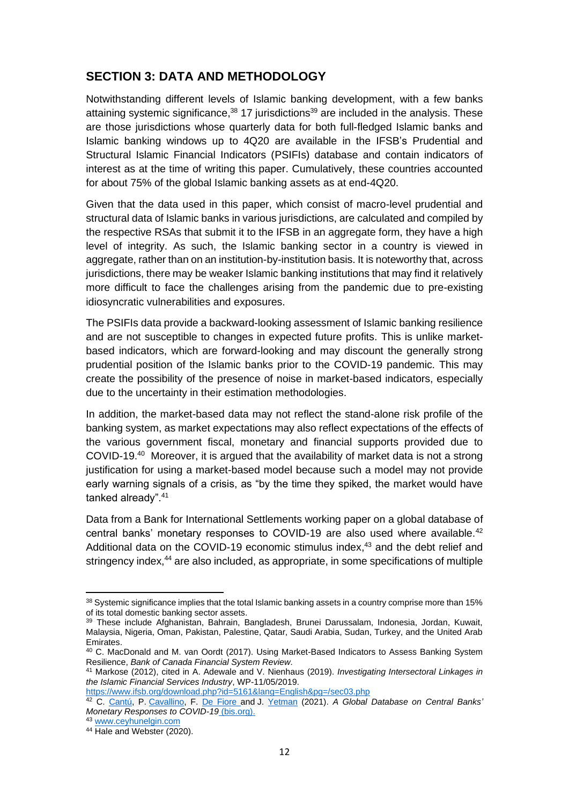### <span id="page-19-0"></span>**SECTION 3: DATA AND METHODOLOGY**

Notwithstanding different levels of Islamic banking development, with a few banks attaining systemic significance,<sup>38</sup> 17 jurisdictions<sup>39</sup> are included in the analysis. These are those jurisdictions whose quarterly data for both full-fledged Islamic banks and Islamic banking windows up to 4Q20 are available in the IFSB's Prudential and Structural Islamic Financial Indicators (PSIFIs) database and contain indicators of interest as at the time of writing this paper. Cumulatively, these countries accounted for about 75% of the global Islamic banking assets as at end-4Q20.

Given that the data used in this paper, which consist of macro-level prudential and structural data of Islamic banks in various jurisdictions, are calculated and compiled by the respective RSAs that submit it to the IFSB in an aggregate form, they have a high level of integrity. As such, the Islamic banking sector in a country is viewed in aggregate, rather than on an institution-by-institution basis. It is noteworthy that, across jurisdictions, there may be weaker Islamic banking institutions that may find it relatively more difficult to face the challenges arising from the pandemic due to pre-existing idiosyncratic vulnerabilities and exposures.

The PSIFIs data provide a backward-looking assessment of Islamic banking resilience and are not susceptible to changes in expected future profits. This is unlike marketbased indicators, which are forward-looking and may discount the generally strong prudential position of the Islamic banks prior to the COVID-19 pandemic. This may create the possibility of the presence of noise in market-based indicators, especially due to the uncertainty in their estimation methodologies.

In addition, the market-based data may not reflect the stand-alone risk profile of the banking system, as market expectations may also reflect expectations of the effects of the various government fiscal, monetary and financial supports provided due to COVID-19.<sup>40</sup> Moreover, it is argued that the availability of market data is not a strong justification for using a market-based model because such a model may not provide early warning signals of a crisis, as "by the time they spiked, the market would have tanked already".<sup>41</sup>

Data from a Bank for International Settlements working paper on a global database of central banks' monetary responses to COVID-19 are also used where available.<sup>42</sup> Additional data on the COVID-19 economic stimulus index,<sup>43</sup> and the debt relief and stringency index,<sup>44</sup> are also included, as appropriate, in some specifications of multiple

<https://www.ifsb.org/download.php?id=5161&lang=English&pg=/sec03.php>

<sup>38</sup> Systemic significance implies that the total Islamic banking assets in a country comprise more than 15% of its total domestic banking sector assets.

<sup>39</sup> These include Afghanistan, Bahrain, Bangladesh, Brunei Darussalam, Indonesia, Jordan, Kuwait, Malaysia, Nigeria, Oman, Pakistan, Palestine, Qatar, Saudi Arabia, Sudan, Turkey, and the United Arab Emirates.

<sup>40</sup> C. MacDonald and M. van Oordt (2017). Using Market-Based Indicators to Assess Banking System Resilience, *Bank of Canada Financial System Review.*

<sup>41</sup> Markose (2012), cited in A. Adewale and V. Nienhaus (2019). *Investigating Intersectoral Linkages in the Islamic Financial Services Industry*, WP-11/05/2019.

<sup>42</sup> C. [Cantú,](https://www.bis.org/author/carlos_cant%c3%ba.htm) P. [Cavallino,](https://www.bis.org/author/paolo_cavallino.htm) F. [De Fiore](https://www.bis.org/author/fiorella_de_fiore.htm) and J. [Yetman](https://www.bis.org/author/james_yetman.htm) (2021). *A Global Database on Central Banks' Monetary Responses to COVID-19* [\(bis.org\).](https://www.bis.org/publ/work934.htm)

<sup>43</sup> [www.ceyhunelgin.com](http://www.ceyhunelgin.com/)

<sup>44</sup> Hale and Webster (2020).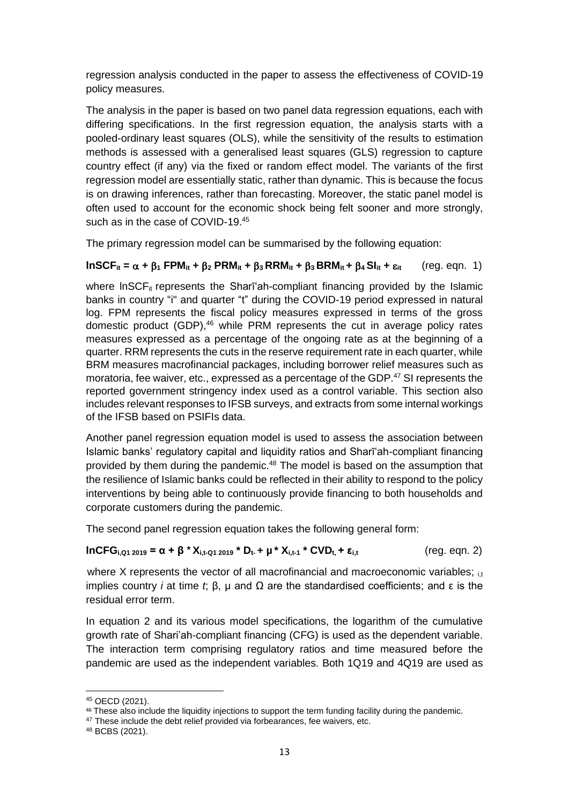regression analysis conducted in the paper to assess the effectiveness of COVID-19 policy measures.

The analysis in the paper is based on two panel data regression equations, each with differing specifications. In the first regression equation, the analysis starts with a pooled-ordinary least squares (OLS), while the sensitivity of the results to estimation methods is assessed with a generalised least squares (GLS) regression to capture country effect (if any) via the fixed or random effect model. The variants of the first regression model are essentially static, rather than dynamic. This is because the focus is on drawing inferences, rather than forecasting. Moreover, the static panel model is often used to account for the economic shock being felt sooner and more strongly, such as in the case of COVID-19.<sup>45</sup>

The primary regression model can be summarised by the following equation:

#### $InSCF_{it} = \alpha + \beta_1 FPM_{it} + \beta_2 PRM_{it} + \beta_3 RRM_{it} + \beta_3 BRM_{it} + \beta_4 SI_{it} + \epsilon_{it}$  (reg. eqn. 1)

where  $InSCF_{it}$  represents the Shari'ah-compliant financing provided by the Islamic banks in country "i" and quarter "t" during the COVID-19 period expressed in natural log. FPM represents the fiscal policy measures expressed in terms of the gross domestic product (GDP),<sup>46</sup> while PRM represents the cut in average policy rates measures expressed as a percentage of the ongoing rate as at the beginning of a quarter. RRM represents the cuts in the reserve requirement rate in each quarter, while BRM measures macrofinancial packages, including borrower relief measures such as moratoria, fee waiver, etc., expressed as a percentage of the GDP.<sup>47</sup> SI represents the reported government stringency index used as a control variable. This section also includes relevant responses to IFSB surveys, and extracts from some internal workings of the IFSB based on PSIFIs data.

Another panel regression equation model is used to assess the association between Islamic banks' regulatory capital and liquidity ratios and Sharīʻah-compliant financing provided by them during the pandemic.<sup>48</sup> The model is based on the assumption that the resilience of Islamic banks could be reflected in their ability to respond to the policy interventions by being able to continuously provide financing to both households and corporate customers during the pandemic.

The second panel regression equation takes the following general form:

#### **lnCFG**<sub>**i**,Q1 2019</sub> = α + β \*  $X_{i,t-Q1 2019}$  \* D<sub>t</sub> + μ \*  $X_{i,t-1}$  \* CVD<sub>t</sub>, + ε<sub>i,t</sub> (reg. eqn. 2)

where X represents the vector of all macrofinancial and macroeconomic variables;  $_{\text{it}}$ implies country *i* at time *t*;  $β$ ,  $µ$  and  $Ω$  are the standardised coefficients; and  $ε$  is the residual error term.

In equation 2 and its various model specifications, the logarithm of the cumulative growth rate of Shari'ah-compliant financing (CFG) is used as the dependent variable. The interaction term comprising regulatory ratios and time measured before the pandemic are used as the independent variables. Both 1Q19 and 4Q19 are used as

<sup>45</sup> OECD (2021).

<sup>46</sup> These also include the liquidity injections to support the term funding facility during the pandemic.

<sup>&</sup>lt;sup>47</sup> These include the debt relief provided via forbearances, fee waivers, etc.

<sup>48</sup> BCBS (2021).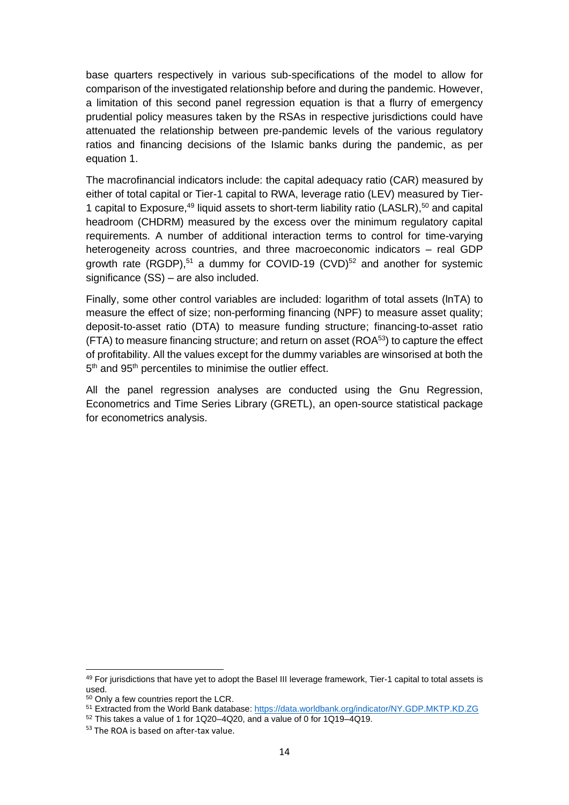base quarters respectively in various sub-specifications of the model to allow for comparison of the investigated relationship before and during the pandemic. However, a limitation of this second panel regression equation is that a flurry of emergency prudential policy measures taken by the RSAs in respective jurisdictions could have attenuated the relationship between pre-pandemic levels of the various regulatory ratios and financing decisions of the Islamic banks during the pandemic, as per equation 1.

The macrofinancial indicators include: the capital adequacy ratio (CAR) measured by either of total capital or Tier-1 capital to RWA, leverage ratio (LEV) measured by Tier-1 capital to Exposure,<sup>49</sup> liquid assets to short-term liability ratio (LASLR),<sup>50</sup> and capital headroom (CHDRM) measured by the excess over the minimum regulatory capital requirements. A number of additional interaction terms to control for time-varying heterogeneity across countries, and three macroeconomic indicators – real GDP growth rate (RGDP),<sup>51</sup> a dummy for COVID-19 (CVD)<sup>52</sup> and another for systemic significance (SS) – are also included.

Finally, some other control variables are included: logarithm of total assets (lnTA) to measure the effect of size; non-performing financing (NPF) to measure asset quality; deposit-to-asset ratio (DTA) to measure funding structure; financing-to-asset ratio  $(FTA)$  to measure financing structure; and return on asset  $(ROA<sup>53</sup>)$  to capture the effect of profitability. All the values except for the dummy variables are winsorised at both the 5<sup>th</sup> and 95<sup>th</sup> percentiles to minimise the outlier effect.

All the panel regression analyses are conducted using the Gnu Regression, Econometrics and Time Series Library (GRETL), an open-source statistical package for econometrics analysis.

<sup>49</sup> For jurisdictions that have yet to adopt the Basel III leverage framework, Tier-1 capital to total assets is used.

<sup>50</sup> Only a few countries report the LCR.

<sup>51</sup> Extracted from the World Bank database: <https://data.worldbank.org/indicator/NY.GDP.MKTP.KD.ZG>

 $52$  This takes a value of 1 for 1Q20–4Q20, and a value of 0 for 1Q19–4Q19.

<sup>53</sup> The ROA is based on after-tax value.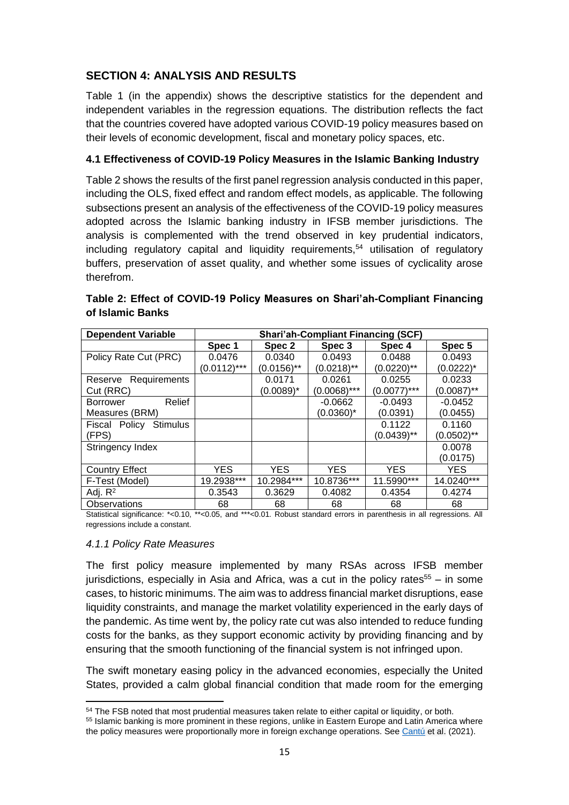### <span id="page-22-0"></span>**SECTION 4: ANALYSIS AND RESULTS**

Table 1 (in the appendix) shows the descriptive statistics for the dependent and independent variables in the regression equations. The distribution reflects the fact that the countries covered have adopted various COVID-19 policy measures based on their levels of economic development, fiscal and monetary policy spaces, etc.

#### <span id="page-22-1"></span>**4.1 Effectiveness of COVID-19 Policy Measures in the Islamic Banking Industry**

Table 2 shows the results of the first panel regression analysis conducted in this paper, including the OLS, fixed effect and random effect models, as applicable. The following subsections present an analysis of the effectiveness of the COVID-19 policy measures adopted across the Islamic banking industry in IFSB member jurisdictions. The analysis is complemented with the trend observed in key prudential indicators,  $including$  regulatory capital and liquidity requirements,<sup>54</sup> utilisation of regulatory buffers, preservation of asset quality, and whether some issues of cyclicality arose therefrom.

| <b>Dependent Variable</b>        | <b>Shari'ah-Compliant Financing (SCF)</b> |               |                |                |               |  |  |
|----------------------------------|-------------------------------------------|---------------|----------------|----------------|---------------|--|--|
|                                  | Spec 1                                    | Spec 2        | Spec 3         | Spec 4         | Spec 5        |  |  |
| Policy Rate Cut (PRC)            | 0.0476                                    | 0.0340        | 0.0493         | 0.0488         | 0.0493        |  |  |
|                                  | $(0.0112)$ ***                            | $(0.0156)$ ** | $(0.0218)$ **  | $(0.0220)$ **  | (0.0222)*     |  |  |
| Requirements<br>Reserve          |                                           | 0.0171        | 0.0261         | 0.0255         | 0.0233        |  |  |
| Cut (RRC)                        |                                           | $(0.0089)^*$  | $(0.0068)$ *** | $(0.0077)$ *** | $(0.0087)$ ** |  |  |
| Relief<br>Borrower               |                                           |               | $-0.0662$      | $-0.0493$      | $-0.0452$     |  |  |
| Measures (BRM)                   |                                           |               | (0.0360)*      | (0.0391)       | (0.0455)      |  |  |
| <b>Stimulus</b><br>Fiscal Policy |                                           |               |                | 0.1122         | 0.1160        |  |  |
| (FPS)                            |                                           |               |                | $(0.0439)$ **  | (0.0502)**    |  |  |
| Stringency Index                 |                                           |               |                |                | 0.0078        |  |  |
|                                  |                                           |               |                |                | (0.0175)      |  |  |
| <b>Country Effect</b>            | <b>YES</b>                                | YES.          | <b>YES</b>     | <b>YES</b>     | YES.          |  |  |
| F-Test (Model)                   | 19.2938***                                | 10.2984***    | 10.8736***     | 11.5990***     | 14.0240***    |  |  |
| Adj. $R^2$                       | 0.3543                                    | 0.3629        | 0.4082         | 0.4354         | 0.4274        |  |  |
| <b>Observations</b>              | 68                                        | 68            | 68             | 68             | 68            |  |  |

### **Table 2: Effect of COVID-19 Policy Measures on Shari'ah-Compliant Financing of Islamic Banks**

Statistical significance: \*<0.10, \*\*<0.05, and \*\*\*<0.01. Robust standard errors in parenthesis in all regressions. All regressions include a constant.

#### <span id="page-22-2"></span>*4.1.1 Policy Rate Measures*

The first policy measure implemented by many RSAs across IFSB member jurisdictions, especially in Asia and Africa, was a cut in the policy rates<sup>55</sup> – in some cases, to historic minimums. The aim was to address financial market disruptions, ease liquidity constraints, and manage the market volatility experienced in the early days of the pandemic. As time went by, the policy rate cut was also intended to reduce funding costs for the banks, as they support economic activity by providing financing and by ensuring that the smooth functioning of the financial system is not infringed upon.

The swift monetary easing policy in the advanced economies, especially the United States, provided a calm global financial condition that made room for the emerging

<sup>&</sup>lt;sup>54</sup> The FSB noted that most prudential measures taken relate to either capital or liquidity, or both.

<sup>55</sup> Islamic banking is more prominent in these regions, unlike in Eastern Europe and Latin America where the policy measures were proportionally more in foreign exchange operations. See [Cantú](https://www.bis.org/author/carlos_cant%c3%ba.htm) et al. (2021).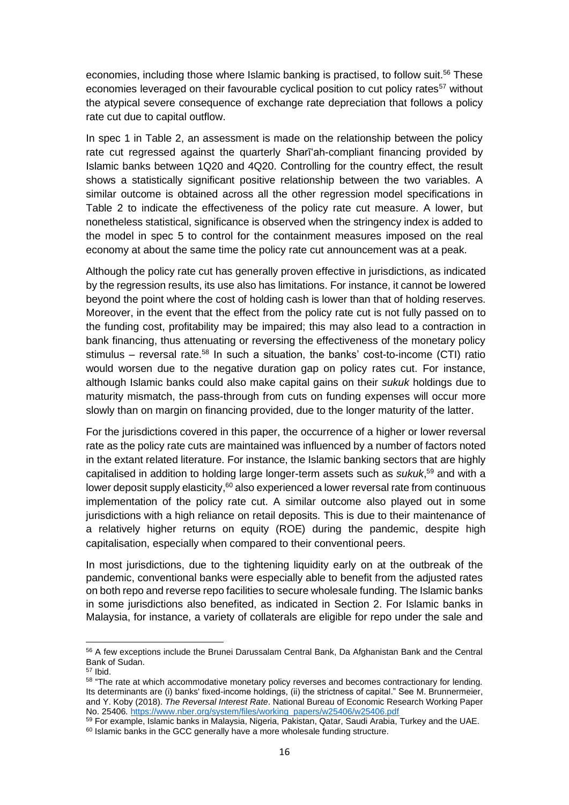economies, including those where Islamic banking is practised, to follow suit.<sup>56</sup> These economies leveraged on their favourable cyclical position to cut policy rates<sup>57</sup> without the atypical severe consequence of exchange rate depreciation that follows a policy rate cut due to capital outflow.

In spec 1 in Table 2, an assessment is made on the relationship between the policy rate cut regressed against the quarterly Sharīʻah-compliant financing provided by Islamic banks between 1Q20 and 4Q20. Controlling for the country effect, the result shows a statistically significant positive relationship between the two variables. A similar outcome is obtained across all the other regression model specifications in Table 2 to indicate the effectiveness of the policy rate cut measure. A lower, but nonetheless statistical, significance is observed when the stringency index is added to the model in spec 5 to control for the containment measures imposed on the real economy at about the same time the policy rate cut announcement was at a peak.

Although the policy rate cut has generally proven effective in jurisdictions, as indicated by the regression results, its use also has limitations. For instance, it cannot be lowered beyond the point where the cost of holding cash is lower than that of holding reserves. Moreover, in the event that the effect from the policy rate cut is not fully passed on to the funding cost, profitability may be impaired; this may also lead to a contraction in bank financing, thus attenuating or reversing the effectiveness of the monetary policy stimulus – reversal rate.<sup>58</sup> In such a situation, the banks' cost-to-income (CTI) ratio would worsen due to the negative duration gap on policy rates cut. For instance, although Islamic banks could also make capital gains on their *sukuk* holdings due to maturity mismatch, the pass-through from cuts on funding expenses will occur more slowly than on margin on financing provided, due to the longer maturity of the latter.

For the jurisdictions covered in this paper, the occurrence of a higher or lower reversal rate as the policy rate cuts are maintained was influenced by a number of factors noted in the extant related literature. For instance, the Islamic banking sectors that are highly capitalised in addition to holding large longer-term assets such as *sukuk*, <sup>59</sup> and with a lower deposit supply elasticity,<sup>60</sup> also experienced a lower reversal rate from continuous implementation of the policy rate cut. A similar outcome also played out in some jurisdictions with a high reliance on retail deposits. This is due to their maintenance of a relatively higher returns on equity (ROE) during the pandemic, despite high capitalisation, especially when compared to their conventional peers.

In most jurisdictions, due to the tightening liquidity early on at the outbreak of the pandemic, conventional banks were especially able to benefit from the adjusted rates on both repo and reverse repo facilities to secure wholesale funding. The Islamic banks in some jurisdictions also benefited, as indicated in Section 2. For Islamic banks in Malaysia, for instance, a variety of collaterals are eligible for repo under the sale and

<sup>56</sup> A few exceptions include the Brunei Darussalam Central Bank, Da Afghanistan Bank and the Central Bank of Sudan.

<sup>57</sup> Ibid.

<sup>&</sup>lt;sup>58</sup> "The rate at which accommodative monetary policy reverses and becomes contractionary for lending. Its determinants are (i) banks' fixed-income holdings, (ii) the strictness of capital." See M. Brunnermeier, and Y. Koby (2018). *The Reversal Interest Rate*. National Bureau of Economic Research Working Paper No. 25406*.* [https://www.nber.org/system/files/working\\_papers/w25406/w25406.pdf](https://www.nber.org/system/files/working_papers/w25406/w25406.pdf)

<sup>&</sup>lt;sup>59</sup> For example, Islamic banks in Malaysia, Nigeria, Pakistan, Qatar, Saudi Arabia, Turkey and the UAE. <sup>60</sup> Islamic banks in the GCC generally have a more wholesale funding structure.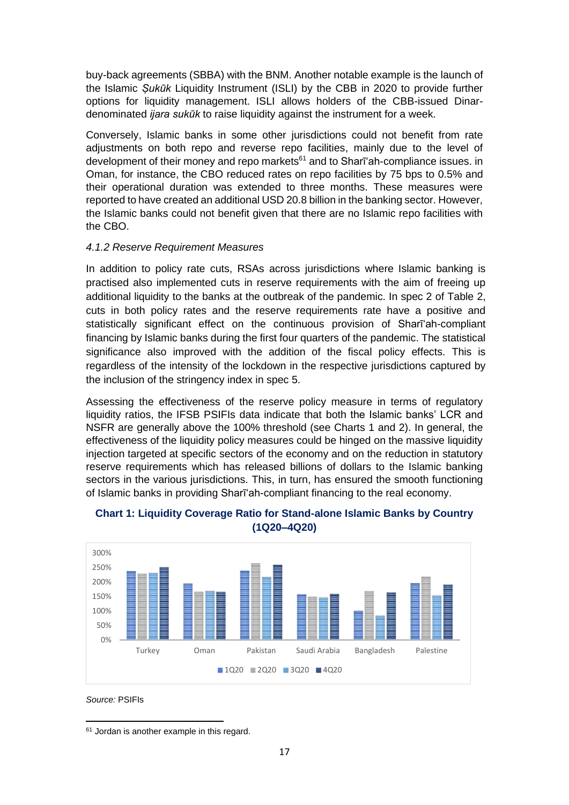buy-back agreements (SBBA) with the BNM. Another notable example is the launch of the Islamic *Ṣukūk* Liquidity Instrument (ISLI) by the CBB in 2020 to provide further options for liquidity management. ISLI allows holders of the CBB-issued Dinardenominated *ijara sukūk* to raise liquidity against the instrument for a week.

Conversely, Islamic banks in some other jurisdictions could not benefit from rate adjustments on both repo and reverse repo facilities, mainly due to the level of development of their money and repo markets<sup>61</sup> and to Sharī'ah-compliance issues. in Oman, for instance, the CBO reduced rates on repo facilities by 75 bps to 0.5% and their operational duration was extended to three months. These measures were reported to have created an additional USD 20.8 billion in the banking sector. However, the Islamic banks could not benefit given that there are no Islamic repo facilities with the CBO.

#### <span id="page-24-0"></span>*4.1.2 Reserve Requirement Measures*

In addition to policy rate cuts, RSAs across jurisdictions where Islamic banking is practised also implemented cuts in reserve requirements with the aim of freeing up additional liquidity to the banks at the outbreak of the pandemic. In spec 2 of Table 2, cuts in both policy rates and the reserve requirements rate have a positive and statistically significant effect on the continuous provision of Sharīʻah-compliant financing by Islamic banks during the first four quarters of the pandemic. The statistical significance also improved with the addition of the fiscal policy effects. This is regardless of the intensity of the lockdown in the respective jurisdictions captured by the inclusion of the stringency index in spec 5.

Assessing the effectiveness of the reserve policy measure in terms of regulatory liquidity ratios, the IFSB PSIFIs data indicate that both the Islamic banks' LCR and NSFR are generally above the 100% threshold (see Charts 1 and 2). In general, the effectiveness of the liquidity policy measures could be hinged on the massive liquidity injection targeted at specific sectors of the economy and on the reduction in statutory reserve requirements which has released billions of dollars to the Islamic banking sectors in the various jurisdictions. This, in turn, has ensured the smooth functioning of Islamic banks in providing Sharīʻah-compliant financing to the real economy.



#### **Chart 1: Liquidity Coverage Ratio for Stand-alone Islamic Banks by Country (1Q20–4Q20)**

*Source:* PSIFIs

<sup>61</sup> Jordan is another example in this regard.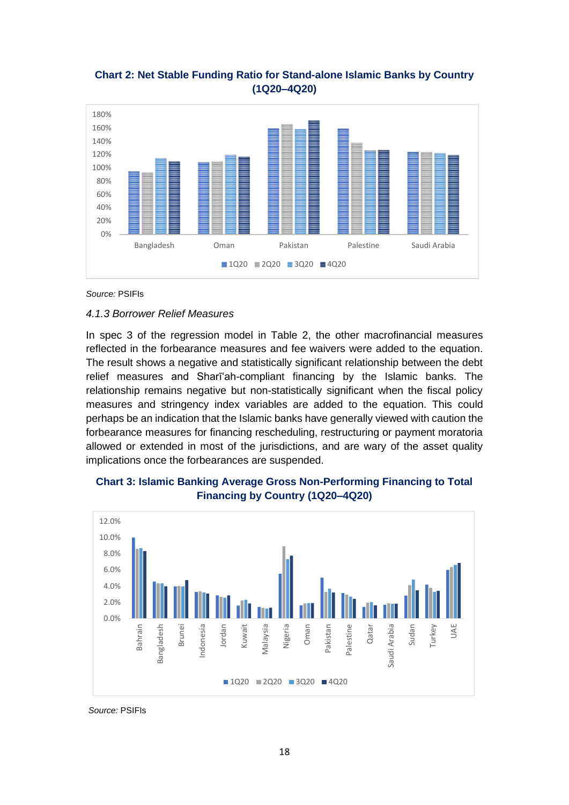#### **Chart 2: Net Stable Funding Ratio for Stand-alone Islamic Banks by Country (1Q20–4Q20)**



*Source:* PSIFIs

#### <span id="page-25-0"></span>*4.1.3 Borrower Relief Measures*

In spec 3 of the regression model in Table 2, the other macrofinancial measures reflected in the forbearance measures and fee waivers were added to the equation. The result shows a negative and statistically significant relationship between the debt relief measures and Sharīʻah-compliant financing by the Islamic banks. The relationship remains negative but non-statistically significant when the fiscal policy measures and stringency index variables are added to the equation. This could perhaps be an indication that the Islamic banks have generally viewed with caution the forbearance measures for financing rescheduling, restructuring or payment moratoria allowed or extended in most of the jurisdictions, and are wary of the asset quality implications once the forbearances are suspended.



#### **Chart 3: Islamic Banking Average Gross Non-Performing Financing to Total Financing by Country (1Q20–4Q20)**

*Source:* PSIFIs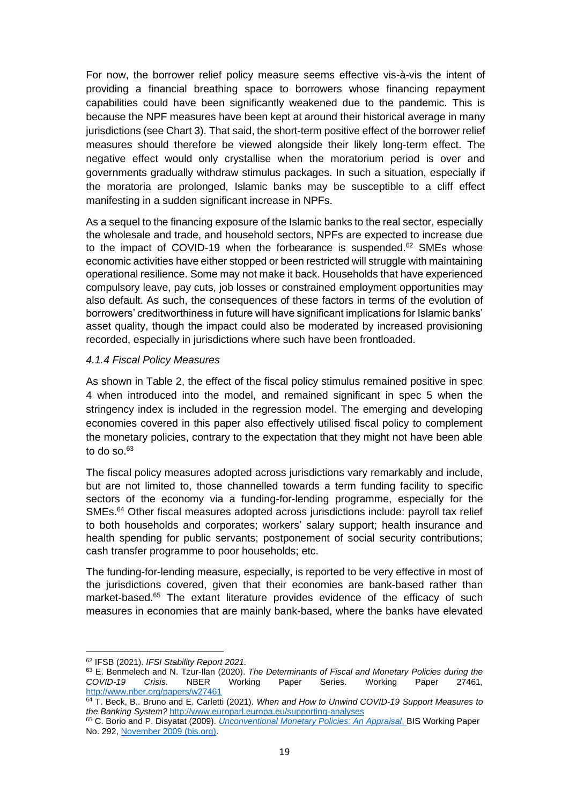For now, the borrower relief policy measure seems effective vis-à-vis the intent of providing a financial breathing space to borrowers whose financing repayment capabilities could have been significantly weakened due to the pandemic. This is because the NPF measures have been kept at around their historical average in many jurisdictions (see Chart 3). That said, the short-term positive effect of the borrower relief measures should therefore be viewed alongside their likely long-term effect. The negative effect would only crystallise when the moratorium period is over and governments gradually withdraw stimulus packages. In such a situation, especially if the moratoria are prolonged, Islamic banks may be susceptible to a cliff effect manifesting in a sudden significant increase in NPFs.

As a sequel to the financing exposure of the Islamic banks to the real sector, especially the wholesale and trade, and household sectors, NPFs are expected to increase due to the impact of COVID-19 when the forbearance is suspended.<sup>62</sup> SMEs whose economic activities have either stopped or been restricted will struggle with maintaining operational resilience. Some may not make it back. Households that have experienced compulsory leave, pay cuts, job losses or constrained employment opportunities may also default. As such, the consequences of these factors in terms of the evolution of borrowers' creditworthiness in future will have significant implications for Islamic banks' asset quality, though the impact could also be moderated by increased provisioning recorded, especially in jurisdictions where such have been frontloaded.

#### <span id="page-26-0"></span>*4.1.4 Fiscal Policy Measures*

As shown in Table 2, the effect of the fiscal policy stimulus remained positive in spec 4 when introduced into the model, and remained significant in spec 5 when the stringency index is included in the regression model. The emerging and developing economies covered in this paper also effectively utilised fiscal policy to complement the monetary policies, contrary to the expectation that they might not have been able to do so. $63$ 

The fiscal policy measures adopted across jurisdictions vary remarkably and include, but are not limited to, those channelled towards a term funding facility to specific sectors of the economy via a funding-for-lending programme, especially for the SMEs.<sup>64</sup> Other fiscal measures adopted across jurisdictions include: payroll tax relief to both households and corporates; workers' salary support; health insurance and health spending for public servants; postponement of social security contributions; cash transfer programme to poor households; etc.

The funding-for-lending measure, especially, is reported to be very effective in most of the jurisdictions covered, given that their economies are bank-based rather than market-based.<sup>65</sup> The extant literature provides evidence of the efficacy of such measures in economies that are mainly bank-based, where the banks have elevated

<sup>62</sup> IFSB (2021). *IFSI Stability Report 2021.*

<sup>63</sup> E. Benmelech and N. Tzur-Ilan (2020). *The Determinants of Fiscal and Monetary Policies during the COVID-19 Crisis*. NBER Working Paper Series. Working Paper 27461, <http://www.nber.org/papers/w27461>

<sup>64</sup> T. Beck, B.. Bruno and E. Carletti (2021). *When and How to Unwind COVID-19 Support Measures to the Banking System?* <http://www.europarl.europa.eu/supporting-analyses>

<sup>65</sup> C. Borio and P. Disyatat (2009). *[Unconventional Monetary Policies: An Appraisal](https://www.bis.org/publ/work292.pdf)*, BIS Working Paper [No. 292, November 2009 \(bis.org\).](https://www.bis.org/publ/work292.pdf)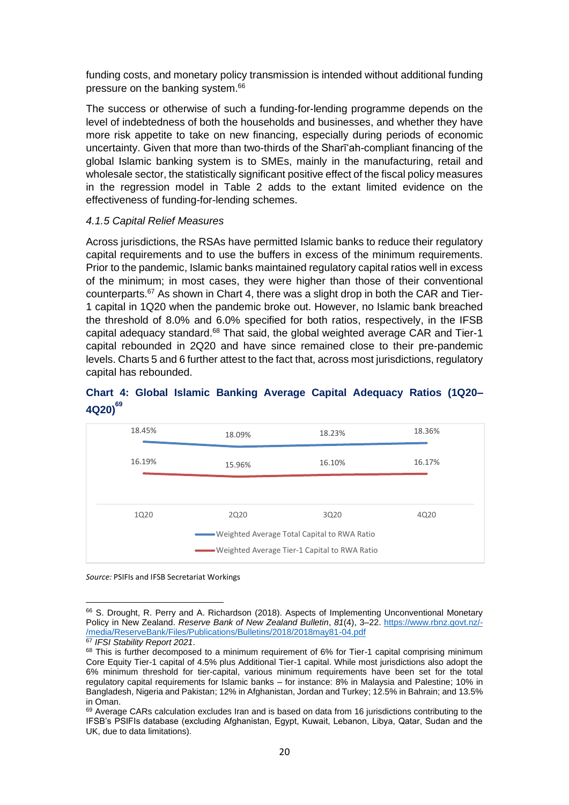funding costs, and monetary policy transmission is intended without additional funding pressure on the banking system.<sup>66</sup>

The success or otherwise of such a funding-for-lending programme depends on the level of indebtedness of both the households and businesses, and whether they have more risk appetite to take on new financing, especially during periods of economic uncertainty. Given that more than two-thirds of the Sharīʻah-compliant financing of the global Islamic banking system is to SMEs, mainly in the manufacturing, retail and wholesale sector, the statistically significant positive effect of the fiscal policy measures in the regression model in Table 2 adds to the extant limited evidence on the effectiveness of funding-for-lending schemes.

#### <span id="page-27-0"></span>*4.1.5 Capital Relief Measures*

Across jurisdictions, the RSAs have permitted Islamic banks to reduce their regulatory capital requirements and to use the buffers in excess of the minimum requirements. Prior to the pandemic, Islamic banks maintained regulatory capital ratios well in excess of the minimum; in most cases, they were higher than those of their conventional counterparts.<sup>67</sup> As shown in Chart 4, there was a slight drop in both the CAR and Tier-1 capital in 1Q20 when the pandemic broke out. However, no Islamic bank breached the threshold of 8.0% and 6.0% specified for both ratios, respectively, in the IFSB capital adequacy standard.<sup>68</sup> That said, the global weighted average CAR and Tier-1 capital rebounded in 2Q20 and have since remained close to their pre-pandemic levels. Charts 5 and 6 further attest to the fact that, across most jurisdictions, regulatory capital has rebounded.

#### **Chart 4: Global Islamic Banking Average Capital Adequacy Ratios (1Q20– 4Q20)<sup>69</sup>**



*Source:* PSIFIs and IFSB Secretariat Workings

<sup>66</sup> S. Drought, R. Perry and A. Richardson (2018). Aspects of Implementing Unconventional Monetary Policy in New Zealand. *Reserve Bank of New Zealand Bulletin*, *81*(4), 3–22. [https://www.rbnz.govt.nz/-](https://www.rbnz.govt.nz/-/media/ReserveBank/Files/Publications/Bulletins/2018/2018may81-04.pdf) [/media/ReserveBank/Files/Publications/Bulletins/2018/2018may81-04.pdf](https://www.rbnz.govt.nz/-/media/ReserveBank/Files/Publications/Bulletins/2018/2018may81-04.pdf)

<sup>67</sup> *IFSI Stability Report 2021*.

 $68$  This is further decomposed to a minimum requirement of  $6\%$  for Tier-1 capital comprising minimum Core Equity Tier-1 capital of 4.5% plus Additional Tier-1 capital. While most jurisdictions also adopt the 6% minimum threshold for tier-capital, various minimum requirements have been set for the total regulatory capital requirements for Islamic banks – for instance: 8% in Malaysia and Palestine; 10% in Bangladesh, Nigeria and Pakistan; 12% in Afghanistan, Jordan and Turkey; 12.5% in Bahrain; and 13.5% in Oman.

 $69$  Average CARs calculation excludes Iran and is based on data from 16 jurisdictions contributing to the IFSB's PSIFIs database (excluding Afghanistan, Egypt, Kuwait, Lebanon, Libya, Qatar, Sudan and the UK, due to data limitations).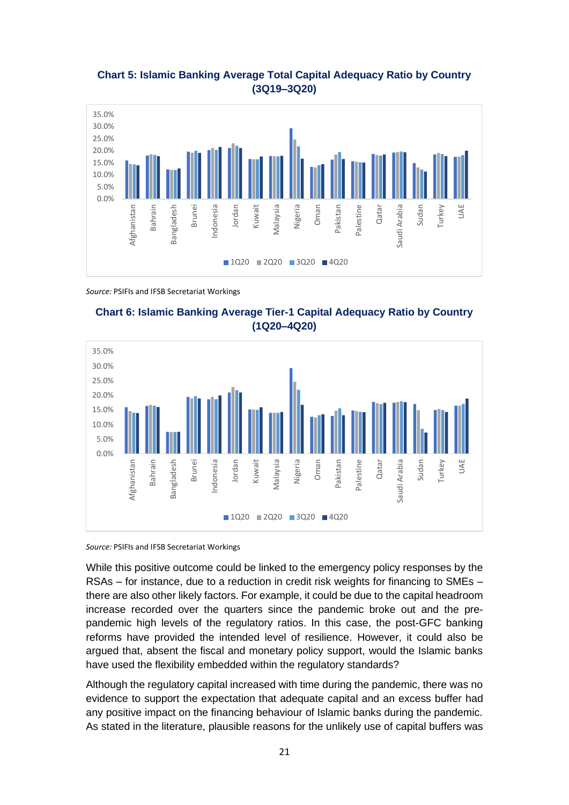#### **Chart 5: Islamic Banking Average Total Capital Adequacy Ratio by Country (3Q19–3Q20)**



*Source:* PSIFIs and IFSB Secretariat Workings





*Source:* PSIFIs and IFSB Secretariat Workings

While this positive outcome could be linked to the emergency policy responses by the RSAs – for instance, due to a reduction in credit risk weights for financing to SMEs – there are also other likely factors. For example, it could be due to the capital headroom increase recorded over the quarters since the pandemic broke out and the prepandemic high levels of the regulatory ratios. In this case, the post-GFC banking reforms have provided the intended level of resilience. However, it could also be argued that, absent the fiscal and monetary policy support, would the Islamic banks have used the flexibility embedded within the regulatory standards?

Although the regulatory capital increased with time during the pandemic, there was no evidence to support the expectation that adequate capital and an excess buffer had any positive impact on the financing behaviour of Islamic banks during the pandemic. As stated in the literature, plausible reasons for the unlikely use of capital buffers was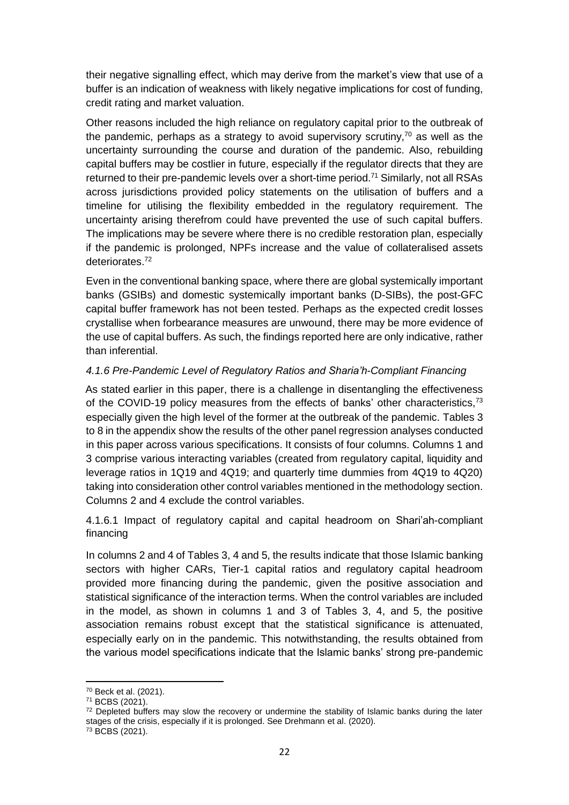their negative signalling effect, which may derive from the market's view that use of a buffer is an indication of weakness with likely negative implications for cost of funding, credit rating and market valuation.

Other reasons included the high reliance on regulatory capital prior to the outbreak of the pandemic, perhaps as a strategy to avoid supervisory scrutiny,  $70$  as well as the uncertainty surrounding the course and duration of the pandemic. Also, rebuilding capital buffers may be costlier in future, especially if the regulator directs that they are returned to their pre-pandemic levels over a short-time period.<sup>71</sup> Similarly, not all RSAs across jurisdictions provided policy statements on the utilisation of buffers and a timeline for utilising the flexibility embedded in the regulatory requirement. The uncertainty arising therefrom could have prevented the use of such capital buffers. The implications may be severe where there is no credible restoration plan, especially if the pandemic is prolonged, NPFs increase and the value of collateralised assets deteriorates.<sup>72</sup>

Even in the conventional banking space, where there are global systemically important banks (GSIBs) and domestic systemically important banks (D-SIBs), the post-GFC capital buffer framework has not been tested. Perhaps as the expected credit losses crystallise when forbearance measures are unwound, there may be more evidence of the use of capital buffers. As such, the findings reported here are only indicative, rather than inferential.

#### <span id="page-29-0"></span>*4.1.6 Pre-Pandemic Level of Regulatory Ratios and Sharia'h-Compliant Financing*

As stated earlier in this paper, there is a challenge in disentangling the effectiveness of the COVID-19 policy measures from the effects of banks' other characteristics,<sup>73</sup> especially given the high level of the former at the outbreak of the pandemic. Tables 3 to 8 in the appendix show the results of the other panel regression analyses conducted in this paper across various specifications. It consists of four columns. Columns 1 and 3 comprise various interacting variables (created from regulatory capital, liquidity and leverage ratios in 1Q19 and 4Q19; and quarterly time dummies from 4Q19 to 4Q20) taking into consideration other control variables mentioned in the methodology section. Columns 2 and 4 exclude the control variables.

4.1.6.1 Impact of regulatory capital and capital headroom on Shari'ah-compliant financing

In columns 2 and 4 of Tables 3, 4 and 5, the results indicate that those Islamic banking sectors with higher CARs, Tier-1 capital ratios and regulatory capital headroom provided more financing during the pandemic, given the positive association and statistical significance of the interaction terms. When the control variables are included in the model, as shown in columns 1 and 3 of Tables 3, 4, and 5, the positive association remains robust except that the statistical significance is attenuated, especially early on in the pandemic. This notwithstanding, the results obtained from the various model specifications indicate that the Islamic banks' strong pre-pandemic

<sup>70</sup> Beck et al. (2021).

<sup>71</sup> BCBS (2021).

 $72$  Depleted buffers may slow the recovery or undermine the stability of Islamic banks during the later stages of the crisis, especially if it is prolonged. See Drehmann et al. (2020).

<sup>73</sup> BCBS (2021).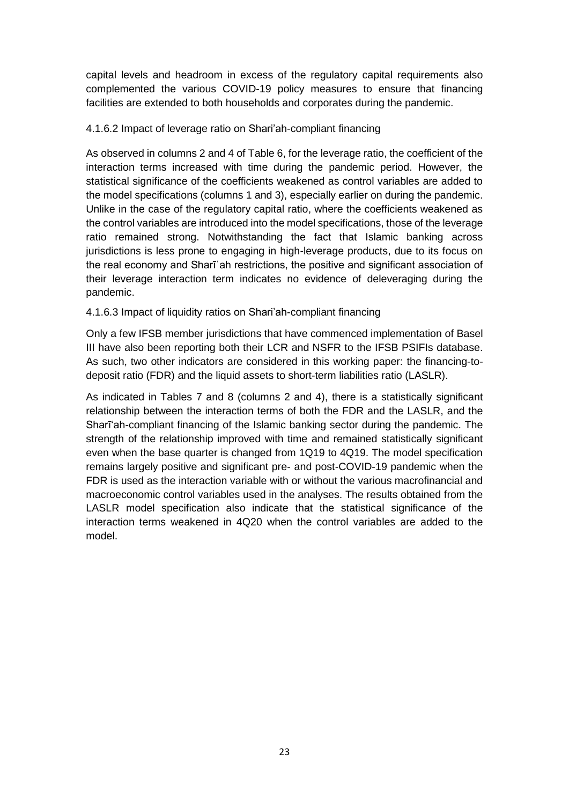capital levels and headroom in excess of the regulatory capital requirements also complemented the various COVID-19 policy measures to ensure that financing facilities are extended to both households and corporates during the pandemic.

#### <span id="page-30-0"></span>4.1.6.2 Impact of leverage ratio on Shari'ah-compliant financing

As observed in columns 2 and 4 of Table 6, for the leverage ratio, the coefficient of the interaction terms increased with time during the pandemic period. However, the statistical significance of the coefficients weakened as control variables are added to the model specifications (columns 1 and 3), especially earlier on during the pandemic. Unlike in the case of the regulatory capital ratio, where the coefficients weakened as the control variables are introduced into the model specifications, those of the leverage ratio remained strong. Notwithstanding the fact that Islamic banking across jurisdictions is less prone to engaging in high-leverage products, due to its focus on the real economy and Sharīʿah restrictions, the positive and significant association of their leverage interaction term indicates no evidence of deleveraging during the pandemic.

#### <span id="page-30-1"></span>4.1.6.3 Impact of liquidity ratios on Shari'ah-compliant financing

Only a few IFSB member jurisdictions that have commenced implementation of Basel III have also been reporting both their LCR and NSFR to the IFSB PSIFIs database. As such, two other indicators are considered in this working paper: the financing-todeposit ratio (FDR) and the liquid assets to short-term liabilities ratio (LASLR).

As indicated in Tables 7 and 8 (columns 2 and 4), there is a statistically significant relationship between the interaction terms of both the FDR and the LASLR, and the Sharīʻah-compliant financing of the Islamic banking sector during the pandemic. The strength of the relationship improved with time and remained statistically significant even when the base quarter is changed from 1Q19 to 4Q19. The model specification remains largely positive and significant pre- and post-COVID-19 pandemic when the FDR is used as the interaction variable with or without the various macrofinancial and macroeconomic control variables used in the analyses. The results obtained from the LASLR model specification also indicate that the statistical significance of the interaction terms weakened in 4Q20 when the control variables are added to the model.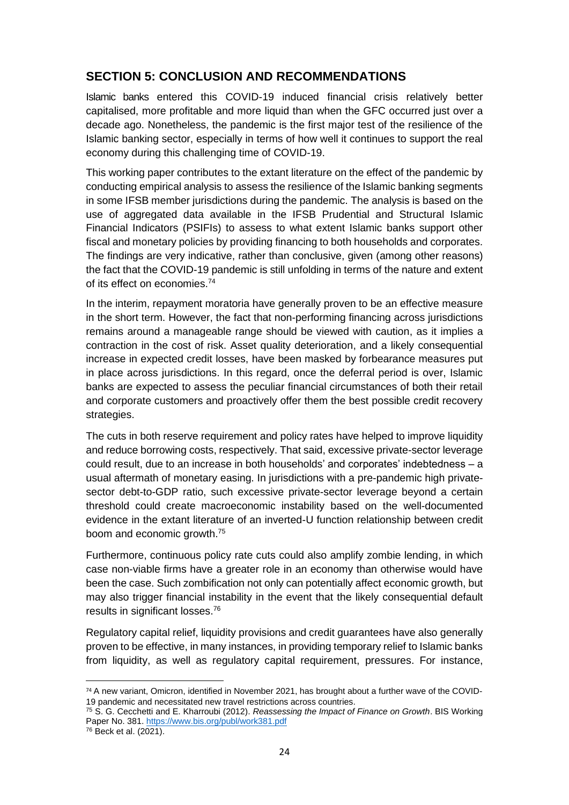### <span id="page-31-0"></span>**SECTION 5: CONCLUSION AND RECOMMENDATIONS**

Islamic banks entered this COVID-19 induced financial crisis relatively better capitalised, more profitable and more liquid than when the GFC occurred just over a decade ago. Nonetheless, the pandemic is the first major test of the resilience of the Islamic banking sector, especially in terms of how well it continues to support the real economy during this challenging time of COVID-19.

This working paper contributes to the extant literature on the effect of the pandemic by conducting empirical analysis to assess the resilience of the Islamic banking segments in some IFSB member jurisdictions during the pandemic. The analysis is based on the use of aggregated data available in the IFSB Prudential and Structural Islamic Financial Indicators (PSIFIs) to assess to what extent Islamic banks support other fiscal and monetary policies by providing financing to both households and corporates. The findings are very indicative, rather than conclusive, given (among other reasons) the fact that the COVID-19 pandemic is still unfolding in terms of the nature and extent of its effect on economies.<sup>74</sup>

In the interim, repayment moratoria have generally proven to be an effective measure in the short term. However, the fact that non-performing financing across jurisdictions remains around a manageable range should be viewed with caution, as it implies a contraction in the cost of risk. Asset quality deterioration, and a likely consequential increase in expected credit losses, have been masked by forbearance measures put in place across jurisdictions. In this regard, once the deferral period is over, Islamic banks are expected to assess the peculiar financial circumstances of both their retail and corporate customers and proactively offer them the best possible credit recovery strategies.

The cuts in both reserve requirement and policy rates have helped to improve liquidity and reduce borrowing costs, respectively. That said, excessive private-sector leverage could result, due to an increase in both households' and corporates' indebtedness – a usual aftermath of monetary easing. In jurisdictions with a pre-pandemic high privatesector debt-to-GDP ratio, such excessive private-sector leverage beyond a certain threshold could create macroeconomic instability based on the well-documented evidence in the extant literature of an inverted-U function relationship between credit boom and economic growth.<sup>75</sup>

Furthermore, continuous policy rate cuts could also amplify zombie lending, in which case non-viable firms have a greater role in an economy than otherwise would have been the case. Such zombification not only can potentially affect economic growth, but may also trigger financial instability in the event that the likely consequential default results in significant losses.<sup>76</sup>

Regulatory capital relief, liquidity provisions and credit guarantees have also generally proven to be effective, in many instances, in providing temporary relief to Islamic banks from liquidity, as well as regulatory capital requirement, pressures. For instance,

<sup>74</sup> A new variant, Omicron, identified in November 2021, has brought about a further wave of the COVID-19 pandemic and necessitated new travel restrictions across countries.

<sup>75</sup> S. G. Cecchetti and E. Kharroubi (2012). *Reassessing the Impact of Finance on Growth*. BIS Working Paper No. 381.<https://www.bis.org/publ/work381.pdf>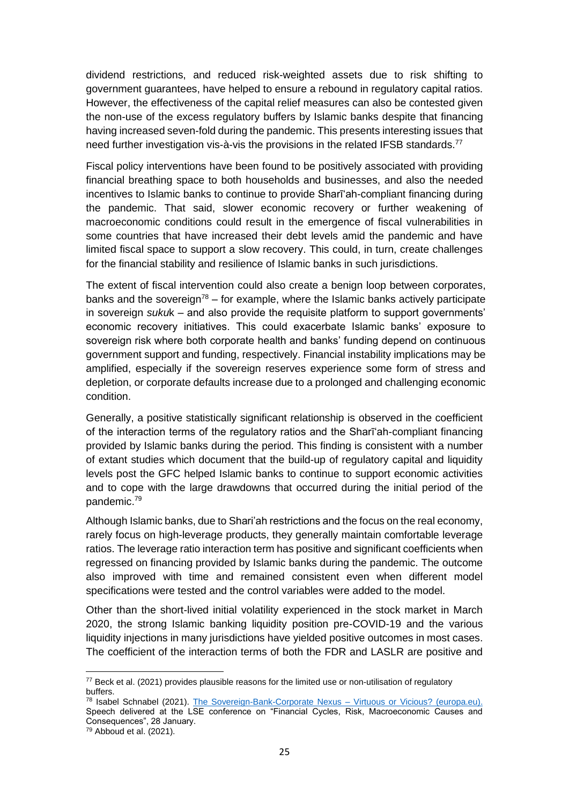dividend restrictions, and reduced risk-weighted assets due to risk shifting to government guarantees, have helped to ensure a rebound in regulatory capital ratios. However, the effectiveness of the capital relief measures can also be contested given the non-use of the excess regulatory buffers by Islamic banks despite that financing having increased seven-fold during the pandemic. This presents interesting issues that need further investigation vis-à-vis the provisions in the related IFSB standards.<sup>77</sup>

Fiscal policy interventions have been found to be positively associated with providing financial breathing space to both households and businesses, and also the needed incentives to Islamic banks to continue to provide Sharīʻah-compliant financing during the pandemic. That said, slower economic recovery or further weakening of macroeconomic conditions could result in the emergence of fiscal vulnerabilities in some countries that have increased their debt levels amid the pandemic and have limited fiscal space to support a slow recovery. This could, in turn, create challenges for the financial stability and resilience of Islamic banks in such jurisdictions.

The extent of fiscal intervention could also create a benign loop between corporates, banks and the sovereign<sup>78</sup> – for example, where the Islamic banks actively participate in sovereign *suku*k – and also provide the requisite platform to support governments' economic recovery initiatives. This could exacerbate Islamic banks' exposure to sovereign risk where both corporate health and banks' funding depend on continuous government support and funding, respectively. Financial instability implications may be amplified, especially if the sovereign reserves experience some form of stress and depletion, or corporate defaults increase due to a prolonged and challenging economic condition.

Generally, a positive statistically significant relationship is observed in the coefficient of the interaction terms of the regulatory ratios and the Sharīʻah-compliant financing provided by Islamic banks during the period. This finding is consistent with a number of extant studies which document that the build-up of regulatory capital and liquidity levels post the GFC helped Islamic banks to continue to support economic activities and to cope with the large drawdowns that occurred during the initial period of the pandemic.<sup>79</sup>

Although Islamic banks, due to Shari'ah restrictions and the focus on the real economy, rarely focus on high-leverage products, they generally maintain comfortable leverage ratios. The leverage ratio interaction term has positive and significant coefficients when regressed on financing provided by Islamic banks during the pandemic. The outcome also improved with time and remained consistent even when different model specifications were tested and the control variables were added to the model.

Other than the short-lived initial volatility experienced in the stock market in March 2020, the strong Islamic banking liquidity position pre-COVID-19 and the various liquidity injections in many jurisdictions have yielded positive outcomes in most cases. The coefficient of the interaction terms of both the FDR and LASLR are positive and

<sup>77</sup> Beck et al. (2021) provides plausible reasons for the limited use or non-utilisation of regulatory buffers.

<sup>78</sup> Isabel Schnabel (2021). [The Sovereign-Bank-Corporate Nexus –](https://www.ecb.europa.eu/press/key/date/2021/html/ecb.sp210128~8f5dc86601.en.html) Virtuous or Vicious? (europa.eu). Speech delivered at the LSE conference on "Financial Cycles, Risk, Macroeconomic Causes and Consequences", 28 January.

 $79$  Abboud et al. (2021).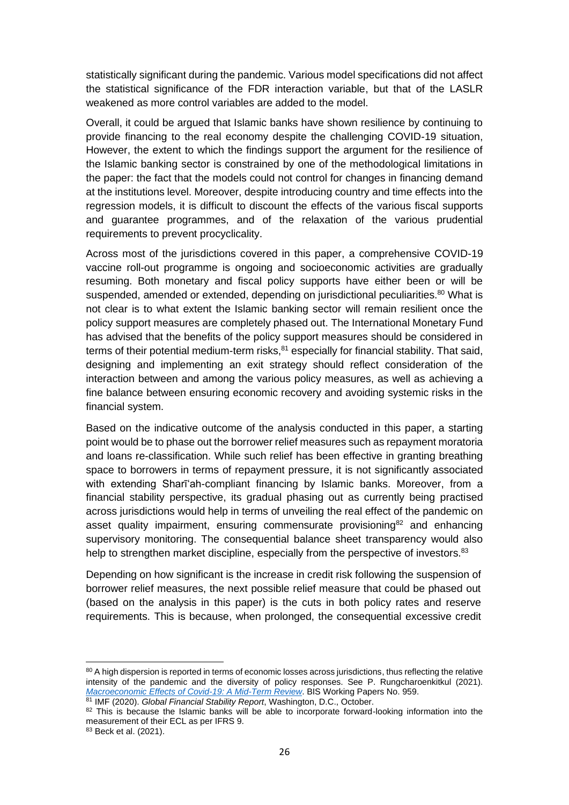statistically significant during the pandemic. Various model specifications did not affect the statistical significance of the FDR interaction variable, but that of the LASLR weakened as more control variables are added to the model.

Overall, it could be argued that Islamic banks have shown resilience by continuing to provide financing to the real economy despite the challenging COVID-19 situation, However, the extent to which the findings support the argument for the resilience of the Islamic banking sector is constrained by one of the methodological limitations in the paper: the fact that the models could not control for changes in financing demand at the institutions level. Moreover, despite introducing country and time effects into the regression models, it is difficult to discount the effects of the various fiscal supports and guarantee programmes, and of the relaxation of the various prudential requirements to prevent procyclicality.

Across most of the jurisdictions covered in this paper, a comprehensive COVID-19 vaccine roll-out programme is ongoing and socioeconomic activities are gradually resuming. Both monetary and fiscal policy supports have either been or will be suspended, amended or extended, depending on jurisdictional peculiarities.<sup>80</sup> What is not clear is to what extent the Islamic banking sector will remain resilient once the policy support measures are completely phased out. The International Monetary Fund has advised that the benefits of the policy support measures should be considered in terms of their potential medium-term risks,<sup>81</sup> especially for financial stability. That said, designing and implementing an exit strategy should reflect consideration of the interaction between and among the various policy measures, as well as achieving a fine balance between ensuring economic recovery and avoiding systemic risks in the financial system.

Based on the indicative outcome of the analysis conducted in this paper, a starting point would be to phase out the borrower relief measures such as repayment moratoria and loans re-classification. While such relief has been effective in granting breathing space to borrowers in terms of repayment pressure, it is not significantly associated with extending Sharīʻah-compliant financing by Islamic banks. Moreover, from a financial stability perspective, its gradual phasing out as currently being practised across jurisdictions would help in terms of unveiling the real effect of the pandemic on asset quality impairment, ensuring commensurate provisioning $82$  and enhancing supervisory monitoring. The consequential balance sheet transparency would also help to strengthen market discipline, especially from the perspective of investors.<sup>83</sup>

Depending on how significant is the increase in credit risk following the suspension of borrower relief measures, the next possible relief measure that could be phased out (based on the analysis in this paper) is the cuts in both policy rates and reserve requirements. This is because, when prolonged, the consequential excessive credit

<sup>80</sup> A high dispersion is reported in terms of economic losses across jurisdictions, thus reflecting the relative intensity of the pandemic and the diversity of policy responses. See P. Rungcharoenkitkul (2021). *[Macroeconomic Effects of Covid-19: A Mid-Term Review](https://www.bis.org/publ/work959.htm)*. BIS Working Papers No. 959.

<sup>81</sup> IMF (2020). *Global Financial Stability Report*, Washington, D.C., October.

<sup>82</sup> This is because the Islamic banks will be able to incorporate forward-looking information into the measurement of their ECL as per IFRS 9.

<sup>83</sup> Beck et al. (2021).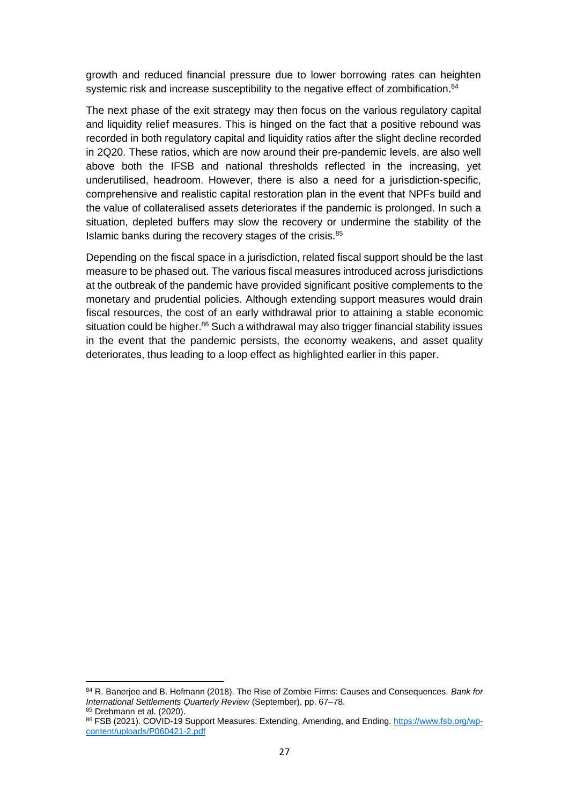growth and reduced financial pressure due to lower borrowing rates can heighten systemic risk and increase susceptibility to the negative effect of zombification.<sup>84</sup>

The next phase of the exit strategy may then focus on the various regulatory capital and liquidity relief measures. This is hinged on the fact that a positive rebound was recorded in both regulatory capital and liquidity ratios after the slight decline recorded in 2Q20. These ratios, which are now around their pre-pandemic levels, are also well above both the IFSB and national thresholds reflected in the increasing, yet underutilised, headroom. However, there is also a need for a jurisdiction-specific, comprehensive and realistic capital restoration plan in the event that NPFs build and the value of collateralised assets deteriorates if the pandemic is prolonged. In such a situation, depleted buffers may slow the recovery or undermine the stability of the Islamic banks during the recovery stages of the crisis.<sup>85</sup>

Depending on the fiscal space in a jurisdiction, related fiscal support should be the last measure to be phased out. The various fiscal measures introduced across jurisdictions at the outbreak of the pandemic have provided significant positive complements to the monetary and prudential policies. Although extending support measures would drain fiscal resources, the cost of an early withdrawal prior to attaining a stable economic situation could be higher. $86$  Such a withdrawal may also trigger financial stability issues in the event that the pandemic persists, the economy weakens, and asset quality deteriorates, thus leading to a loop effect as highlighted earlier in this paper.

<sup>84</sup> R. Banerjee and B. Hofmann (2018). The Rise of Zombie Firms: Causes and Consequences. *Bank for International Settlements Quarterly Review* (September), pp. 67–78.

<sup>85</sup> Drehmann et al. (2020).

<sup>86</sup> FSB (2021). COVID-19 Support Measures: Extending, Amending, and Ending. [https://www.fsb.org/wp](https://www.fsb.org/wp-content/uploads/P060421-2.pdf)[content/uploads/P060421-2.pdf](https://www.fsb.org/wp-content/uploads/P060421-2.pdf)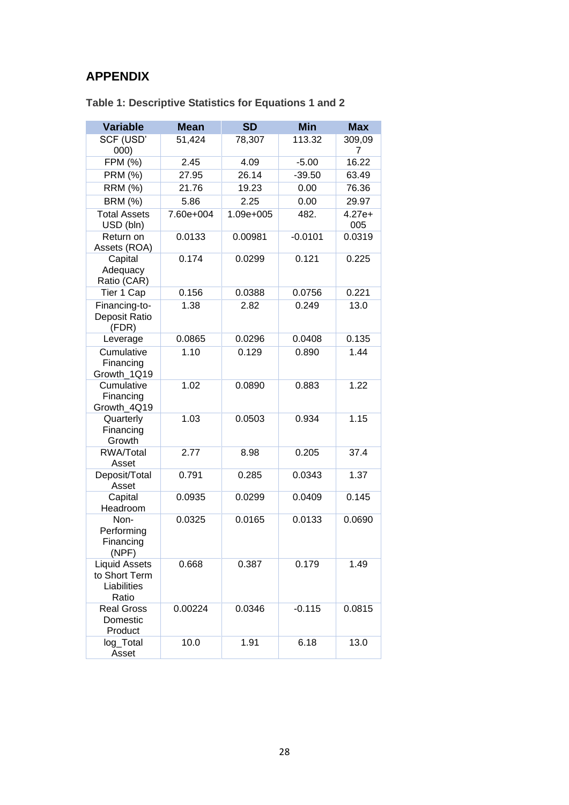### <span id="page-35-0"></span>**APPENDIX**

| <b>Variable</b>                                               | <b>Mean</b> | <b>SD</b> | <b>Min</b> | <b>Max</b>      |
|---------------------------------------------------------------|-------------|-----------|------------|-----------------|
| SCF (USD'<br>000)                                             | 51,424      | 78,307    | 113.32     | 309,09<br>7     |
| FPM (%)                                                       | 2.45        | 4.09      | $-5.00$    | 16.22           |
| <b>PRM (%)</b>                                                | 27.95       | 26.14     | $-39.50$   | 63.49           |
| <b>RRM (%)</b>                                                | 21.76       | 19.23     | 0.00       | 76.36           |
| <b>BRM (%)</b>                                                | 5.86        | 2.25      | 0.00       | 29.97           |
| <b>Total Assets</b><br>USD (bln)                              | 7.60e+004   | 1.09e+005 | 482.       | $4.27e+$<br>005 |
| Return on<br>Assets (ROA)                                     | 0.0133      | 0.00981   | $-0.0101$  | 0.0319          |
| Capital<br>Adequacy<br>Ratio (CAR)                            | 0.174       | 0.0299    | 0.121      | 0.225           |
| Tier 1 Cap                                                    | 0.156       | 0.0388    | 0.0756     | 0.221           |
| Financing-to-<br>Deposit Ratio<br>(FDR)                       | 1.38        | 2.82      | 0.249      | 13.0            |
| Leverage                                                      | 0.0865      | 0.0296    | 0.0408     | 0.135           |
| Cumulative<br>Financing<br>Growth 1Q19                        | 1.10        | 0.129     | 0.890      | 1.44            |
| Cumulative<br>Financing<br>Growth_4Q19                        | 1.02        | 0.0890    | 0.883      | 1.22            |
| Quarterly<br>Financing<br>Growth                              | 1.03        | 0.0503    | 0.934      | 1.15            |
| <b>RWA/Total</b><br>Asset                                     | 2.77        | 8.98      | 0.205      | 37.4            |
| Deposit/Total<br>Asset                                        | 0.791       | 0.285     | 0.0343     | 1.37            |
| Capital<br>Headroom                                           | 0.0935      | 0.0299    | 0.0409     | 0.145           |
| Non-<br>Performing<br>Financing<br>(NPF)                      | 0.0325      | 0.0165    | 0.0133     | 0.0690          |
| <b>Liquid Assets</b><br>to Short Term<br>Liabilities<br>Ratio | 0.668       | 0.387     | 0.179      | 1.49            |
| <b>Real Gross</b><br>Domestic<br>Product                      | 0.00224     | 0.0346    | $-0.115$   | 0.0815          |
| log_Total<br>Asset                                            | 10.0        | 1.91      | 6.18       | 13.0            |

**Table 1: Descriptive Statistics for Equations 1 and 2**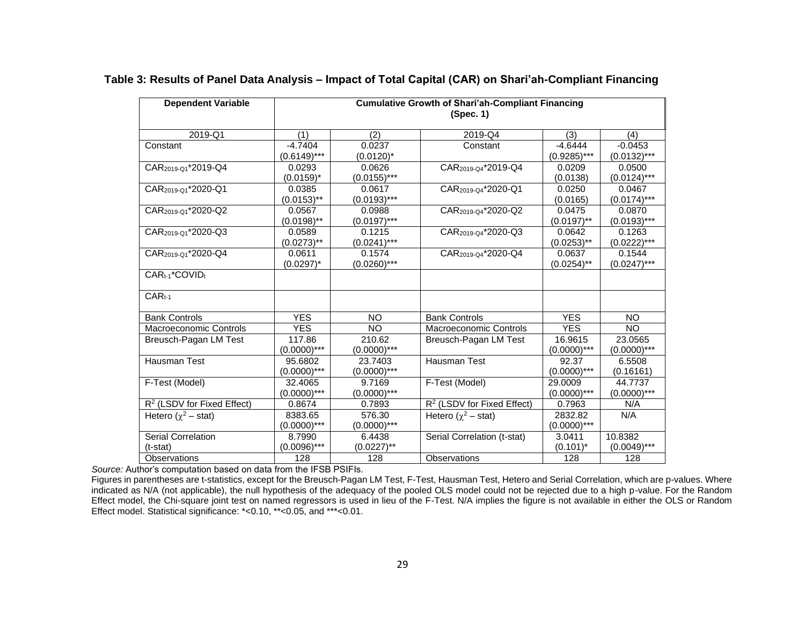| <b>Dependent Variable</b>       | <b>Cumulative Growth of Shari'ah-Compliant Financing</b><br>(Spec. 1) |                |                                        |                |                |  |  |
|---------------------------------|-----------------------------------------------------------------------|----------------|----------------------------------------|----------------|----------------|--|--|
| 2019-Q1                         | (1)                                                                   | (2)            | 2019-Q4                                | (3)            | (4)            |  |  |
| Constant                        | $-4.7404$                                                             | 0.0237         | Constant                               | $-4.6444$      | $-0.0453$      |  |  |
|                                 | $(0.6149)$ ***                                                        | $(0.0120)^*$   |                                        | $(0.9285)***$  | $(0.0132)$ *** |  |  |
| CAR <sub>2019-Q1</sub> *2019-Q4 | 0.0293                                                                | 0.0626         | CAR <sub>2019-Q4</sub> *2019-Q4        | 0.0209         | 0.0500         |  |  |
|                                 | $(0.0159)^*$                                                          | $(0.0155)$ *** |                                        | (0.0138)       | $(0.0124)***$  |  |  |
| CAR <sub>2019-Q1</sub> *2020-Q1 | 0.0385                                                                | 0.0617         | CAR <sub>2019-Q4</sub> *2020-Q1        | 0.0250         | 0.0467         |  |  |
|                                 | $(0.0153)$ **                                                         | $(0.0193)$ *** |                                        | (0.0165)       | $(0.0174)$ *** |  |  |
| CAR <sub>2019-01</sub> *2020-Q2 | 0.0567                                                                | 0.0988         | CAR <sub>2019-04</sub> *2020-Q2        | 0.0475         | 0.0870         |  |  |
|                                 | $(0.0198)$ **                                                         | $(0.0197)$ *** |                                        | $(0.0197)$ **  | $(0.0193)$ *** |  |  |
| CAR <sub>2019-Q1</sub> *2020-Q3 | 0.0589                                                                | 0.1215         | CAR <sub>2019-Q4</sub> *2020-Q3        | 0.0642         | 0.1263         |  |  |
|                                 | $(0.0273)$ **                                                         | $(0.0241)$ *** |                                        | $(0.0253)$ **  | $(0.0222)***$  |  |  |
| CAR <sub>2019-Q1</sub> *2020-Q4 | 0.0611                                                                | 0.1574         | CAR <sub>2019-Q4</sub> *2020-Q4        | 0.0637         | 0.1544         |  |  |
|                                 | $(0.0297)^*$                                                          | $(0.0260)$ *** |                                        | $(0.0254)$ **  | $(0.0247)$ *** |  |  |
| CAR <sub>t-1</sub> *COVIDt      |                                                                       |                |                                        |                |                |  |  |
| $CAR_{t-1}$                     |                                                                       |                |                                        |                |                |  |  |
| <b>Bank Controls</b>            | <b>YES</b>                                                            | <b>NO</b>      | <b>Bank Controls</b>                   | <b>YES</b>     | <b>NO</b>      |  |  |
| Macroeconomic Controls          | <b>YES</b>                                                            | <b>NO</b>      | <b>Macroeconomic Controls</b>          | <b>YES</b>     | <b>NO</b>      |  |  |
| Breusch-Pagan LM Test           | 117.86                                                                | 210.62         | Breusch-Pagan LM Test                  | 16.9615        | 23.0565        |  |  |
|                                 | $(0.0000)$ ***                                                        | $(0.0000)$ *** |                                        | $(0.0000)$ *** | $(0.0000)$ *** |  |  |
| Hausman Test                    | 95.6802                                                               | 23.7403        | Hausman Test                           | 92.37          | 6.5508         |  |  |
|                                 | $(0.0000)$ ***                                                        | $(0.0000)$ *** |                                        | $(0.0000)$ *** | (0.16161)      |  |  |
| F-Test (Model)                  | 32.4065                                                               | 9.7169         | F-Test (Model)                         | 29.0009        | 44.7737        |  |  |
|                                 | $(0.0000)$ ***                                                        | $(0.0000)$ *** |                                        | $(0.0000)$ *** | $(0.0000)$ *** |  |  |
| $R2$ (LSDV for Fixed Effect)    | 0.8674                                                                | 0.7893         | R <sup>2</sup> (LSDV for Fixed Effect) | 0.7963         | N/A            |  |  |
| Hetero $(\chi^2 - \text{stat})$ | 8383.65                                                               | 576.30         | Hetero ( $\chi^2$ – stat)              | 2832.82        | N/A            |  |  |
|                                 | $(0.0000)$ ***                                                        | $(0.0000)$ *** |                                        | $(0.0000)$ *** |                |  |  |
| Serial Correlation              | 8.7990                                                                | 6.4438         | Serial Correlation (t-stat)            | 3.0411         | 10.8382        |  |  |
| $(t-stat)$                      | $(0.0096)$ ***                                                        | $(0.0227)$ **  |                                        | $(0.101)^*$    | $(0.0049)$ *** |  |  |
| Observations                    | 128                                                                   | 128            | Observations                           | 128            | 128            |  |  |

#### **Table 3: Results of Panel Data Analysis – Impact of Total Capital (CAR) on Shari'ah-Compliant Financing**

*Source:* Author's computation based on data from the IFSB PSIFIs.

Figures in parentheses are t-statistics, except for the Breusch-Pagan LM Test, F-Test, Hausman Test, Hetero and Serial Correlation, which are p-values. Where indicated as N/A (not applicable), the null hypothesis of the adequacy of the pooled OLS model could not be rejected due to a high p-value. For the Random Effect model, the Chi-square joint test on named regressors is used in lieu of the F-Test. N/A implies the figure is not available in either the OLS or Random Effect model. Statistical significance: \*<0.10, \*\*<0.05, and \*\*\*<0.01.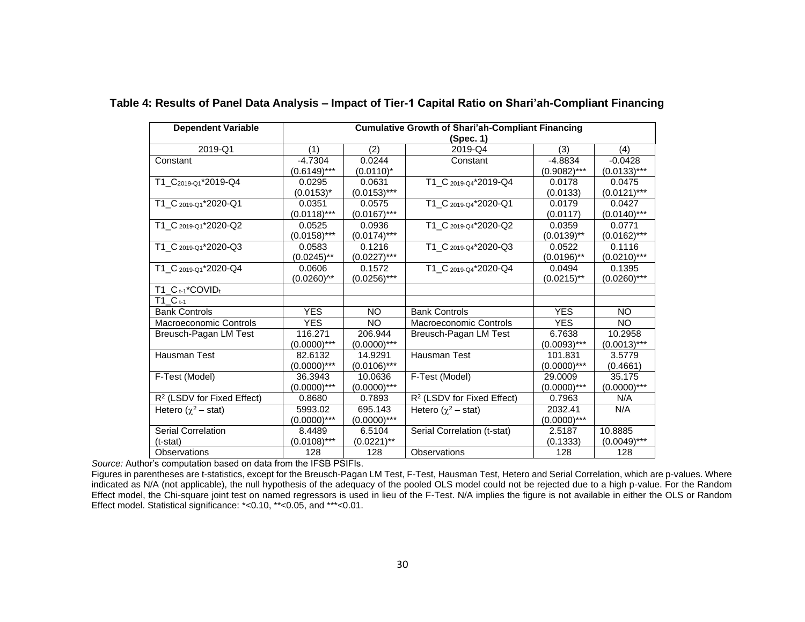| <b>Dependent Variable</b>              | <b>Cumulative Growth of Shari'ah-Compliant Financing</b> |                |                                        |                |                |  |
|----------------------------------------|----------------------------------------------------------|----------------|----------------------------------------|----------------|----------------|--|
|                                        |                                                          |                | (Spec. 1)                              |                |                |  |
| 2019-Q1                                | (1)                                                      | (2)            | 2019-Q4                                | (3)            | (4)            |  |
| Constant                               | $-4.7304$                                                | 0.0244         | Constant                               | $-4.8834$      | $-0.0428$      |  |
|                                        | $(0.6149)$ ***                                           | $(0.0110)^*$   |                                        | $(0.9082)$ *** | $(0.0133)***$  |  |
| T1_C <sub>2019-Q1</sub> *2019-Q4       | 0.0295                                                   | 0.0631         | T1_C <sub>2019-Q4</sub> *2019-Q4       | 0.0178         | 0.0475         |  |
|                                        | $(0.0153)^{*}$                                           | $(0.0153)***$  |                                        | (0.0133)       | $(0.0121)***$  |  |
| T1_C 2019-Q1*2020-Q1                   | 0.0351                                                   | 0.0575         | T1_C 2019-Q4*2020-Q1                   | 0.0179         | 0.0427         |  |
|                                        | $(0.0118)$ ***                                           | $(0.0167)$ *** |                                        | (0.0117)       | $(0.0140)$ *** |  |
| T1_C 2019-Q1*2020-Q2                   | 0.0525                                                   | 0.0936         | T1_C 2019-Q4*2020-Q2                   | 0.0359         | 0.0771         |  |
|                                        | $(0.0158)***$                                            | $(0.0174)$ *** |                                        | $(0.0139)$ **  | $(0.0162)***$  |  |
| T1_C 2019-Q1*2020-Q3                   | 0.0583                                                   | 0.1216         | T1_C 2019-Q4*2020-Q3                   | 0.0522         | 0.1116         |  |
|                                        | $(0.0245)$ **                                            | $(0.0227)$ *** |                                        | $(0.0196)$ **  | $(0.0210)$ *** |  |
| T1 C 2019-Q1*2020-Q4                   | 0.0606                                                   | 0.1572         | T1_C 2019-Q4*2020-Q4                   | 0.0494         | 0.1395         |  |
|                                        | $(0.0260)^{A*}$                                          | $(0.0256)$ *** |                                        | $(0.0215)$ **  | $(0.0260)$ *** |  |
| $T1_C_{t-1}$ *COVID <sub>t</sub>       |                                                          |                |                                        |                |                |  |
| $T1 \, C_{t-1}$                        |                                                          |                |                                        |                |                |  |
| <b>Bank Controls</b>                   | <b>YES</b>                                               | <b>NO</b>      | <b>Bank Controls</b>                   | <b>YES</b>     | NO.            |  |
| <b>Macroeconomic Controls</b>          | <b>YES</b>                                               | <b>NO</b>      | Macroeconomic Controls                 | <b>YES</b>     | <b>NO</b>      |  |
| Breusch-Pagan LM Test                  | 116.271                                                  | 206.944        | Breusch-Pagan LM Test                  | 6.7638         | 10.2958        |  |
|                                        | $(0.0000)$ ***                                           | $(0.0000)$ *** |                                        | $(0.0093)$ *** | $(0.0013)$ *** |  |
| Hausman Test                           | 82.6132                                                  | 14.9291        | Hausman Test                           | 101.831        | 3.5779         |  |
|                                        | $(0.0000)$ ***                                           | $(0.0106)$ *** |                                        | $(0.0000)$ *** | (0.4661)       |  |
| F-Test (Model)                         | 36.3943                                                  | 10.0636        | F-Test (Model)                         | 29.0009        | 35.175         |  |
|                                        | $(0.0000)$ ***                                           | $(0.0000)$ *** |                                        | $(0.0000)$ *** | $(0.0000)$ *** |  |
| R <sup>2</sup> (LSDV for Fixed Effect) | 0.8680                                                   | 0.7893         | R <sup>2</sup> (LSDV for Fixed Effect) | 0.7963         | N/A            |  |
| Hetero $(\chi^2 - \text{stat})$        | 5993.02                                                  | 695.143        | Hetero $(\chi^2$ – stat)               | 2032.41        | N/A            |  |
|                                        | $(0.0000)$ ***                                           | $(0.0000)$ *** |                                        | $(0.0000)$ *** |                |  |
| Serial Correlation                     | 8.4489                                                   | 6.5104         | Serial Correlation (t-stat)            | 2.5187         | 10.8885        |  |
| $(t-stat)$                             | $(0.0108)$ ***                                           | $(0.0221)$ **  |                                        | (0.1333)       | $(0.0049)$ *** |  |
| Observations                           | 128                                                      | 128            | Observations                           | 128            | 128            |  |

#### **Table 4: Results of Panel Data Analysis – Impact of Tier-1 Capital Ratio on Shari'ah-Compliant Financing**

*Source:* Author's computation based on data from the IFSB PSIFIs.

Figures in parentheses are t-statistics, except for the Breusch-Pagan LM Test, F-Test, Hausman Test, Hetero and Serial Correlation, which are p-values. Where indicated as N/A (not applicable), the null hypothesis of the adequacy of the pooled OLS model could not be rejected due to a high p-value. For the Random Effect model, the Chi-square joint test on named regressors is used in lieu of the F-Test. N/A implies the figure is not available in either the OLS or Random Effect model. Statistical significance: \*<0.10, \*\*<0.05, and \*\*\*<0.01.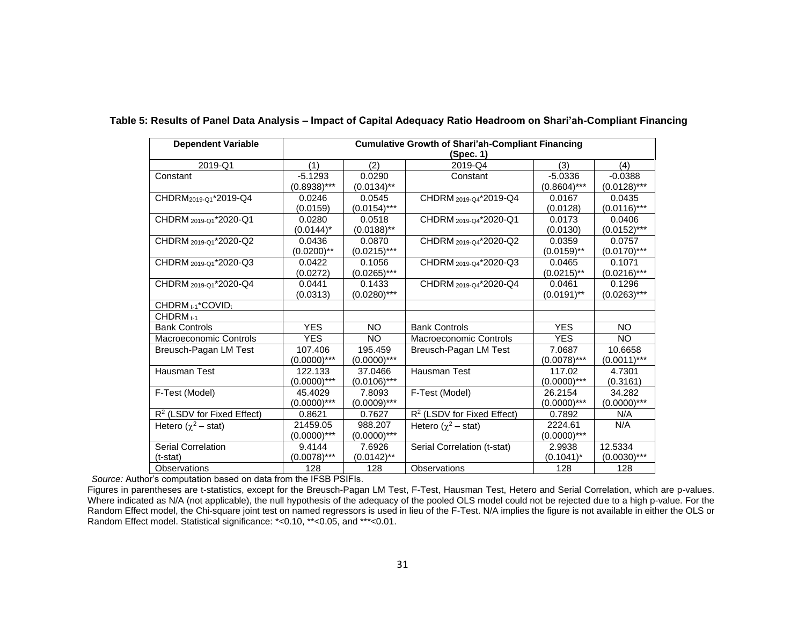| <b>Dependent Variable</b>              | <b>Cumulative Growth of Shari'ah-Compliant Financing</b> |                |                                        |                |                |  |
|----------------------------------------|----------------------------------------------------------|----------------|----------------------------------------|----------------|----------------|--|
|                                        | (Spec. 1)                                                |                |                                        |                |                |  |
| 2019-Q1                                | (1)                                                      | (2)            | 2019-Q4                                | (3)            | (4)            |  |
| Constant                               | $-5.1293$                                                | 0.0290         | Constant                               | $-5.0336$      | $-0.0388$      |  |
|                                        | $(0.8938)$ ***                                           | $(0.0134)$ **  |                                        | $(0.8604)$ *** | $(0.0128)$ *** |  |
| CHDRM <sub>2019-01</sub> *2019-Q4      | 0.0246                                                   | 0.0545         | CHDRM 2019-04*2019-Q4                  | 0.0167         | 0.0435         |  |
|                                        | (0.0159)                                                 | $(0.0154)$ *** |                                        | (0.0128)       | $(0.0116)$ *** |  |
| CHDRM 2019-01*2020-Q1                  | 0.0280                                                   | 0.0518         | CHDRM 2019-04*2020-Q1                  | 0.0173         | 0.0406         |  |
|                                        | $(0.0144)^*$                                             | $(0.0188)$ **  |                                        | (0.0130)       | $(0.0152)***$  |  |
| CHDRM 2019-01*2020-Q2                  | 0.0436                                                   | 0.0870         | CHDRM 2019-Q4*2020-Q2                  | 0.0359         | 0.0757         |  |
|                                        | $(0.0200)$ **                                            | $(0.0215)$ *** |                                        | $(0.0159)$ **  | $(0.0170)$ *** |  |
| CHDRM 2019-01*2020-Q3                  | 0.0422                                                   | 0.1056         | CHDRM 2019-04*2020-Q3                  | 0.0465         | 0.1071         |  |
|                                        | (0.0272)                                                 | $(0.0265)$ *** |                                        | $(0.0215)$ **  | $(0.0216)$ *** |  |
| CHDRM 2019-01*2020-Q4                  | 0.0441                                                   | 0.1433         | CHDRM 2019-04*2020-Q4                  | 0.0461         | 0.1296         |  |
|                                        | (0.0313)                                                 | $(0.0280)$ *** |                                        | $(0.0191)$ **  | $(0.0263)***$  |  |
| CHDRM t-1*COVIDt                       |                                                          |                |                                        |                |                |  |
| $CHDRMt-1$                             |                                                          |                |                                        |                |                |  |
| <b>Bank Controls</b>                   | <b>YES</b>                                               | <b>NO</b>      | <b>Bank Controls</b>                   | <b>YES</b>     | <b>NO</b>      |  |
| Macroeconomic Controls                 | <b>YES</b>                                               | <b>NO</b>      | Macroeconomic Controls                 | <b>YES</b>     | <b>NO</b>      |  |
| Breusch-Pagan LM Test                  | 107.406                                                  | 195.459        | Breusch-Pagan LM Test                  | 7.0687         | 10.6658        |  |
|                                        | $(0.0000)$ ***                                           | $(0.0000)$ *** |                                        | $(0.0078)$ *** | $(0.0011)$ *** |  |
| Hausman Test                           | 122.133                                                  | 37.0466        | Hausman Test                           | 117.02         | 4.7301         |  |
|                                        | $(0.0000)$ ***                                           | $(0.0106)$ *** |                                        | $(0.0000)$ *** | (0.3161)       |  |
| F-Test (Model)                         | 45.4029                                                  | 7.8093         | F-Test (Model)                         | 26.2154        | 34.282         |  |
|                                        | $(0.0000)$ ***                                           | $(0.0009)$ *** |                                        | $(0.0000)$ *** | $(0.0000)$ *** |  |
| R <sup>2</sup> (LSDV for Fixed Effect) | 0.8621                                                   | 0.7627         | R <sup>2</sup> (LSDV for Fixed Effect) | 0.7892         | N/A            |  |
| Hetero $(\chi^2$ – stat)               | 21459.05                                                 | 988.207        | Hetero ( $\chi^2$ – stat)              | 2224.61        | N/A            |  |
|                                        | $(0.0000)$ ***                                           | $(0.0000)$ *** |                                        | $(0.0000)$ *** |                |  |
| Serial Correlation                     | 9.4144                                                   | 7.6926         | Serial Correlation (t-stat)            | 2.9938         | 12.5334        |  |
| $(t-stat)$                             | $(0.0078)$ ***                                           | $(0.0142)$ **  |                                        | $(0.1041)^*$   | $(0.0030)$ *** |  |
| Observations                           | 128                                                      | 128            | Observations                           | 128            | 128            |  |

#### **Table 5: Results of Panel Data Analysis – Impact of Capital Adequacy Ratio Headroom on Shari'ah-Compliant Financing**

*Source:* Author's computation based on data from the IFSB PSIFIs.

Figures in parentheses are t-statistics, except for the Breusch-Pagan LM Test, F-Test, Hausman Test, Hetero and Serial Correlation, which are p-values. Where indicated as N/A (not applicable), the null hypothesis of the adequacy of the pooled OLS model could not be rejected due to a high p-value. For the Random Effect model, the Chi-square joint test on named regressors is used in lieu of the F-Test. N/A implies the figure is not available in either the OLS or Random Effect model. Statistical significance: \*<0.10, \*\*<0.05, and \*\*\*<0.01.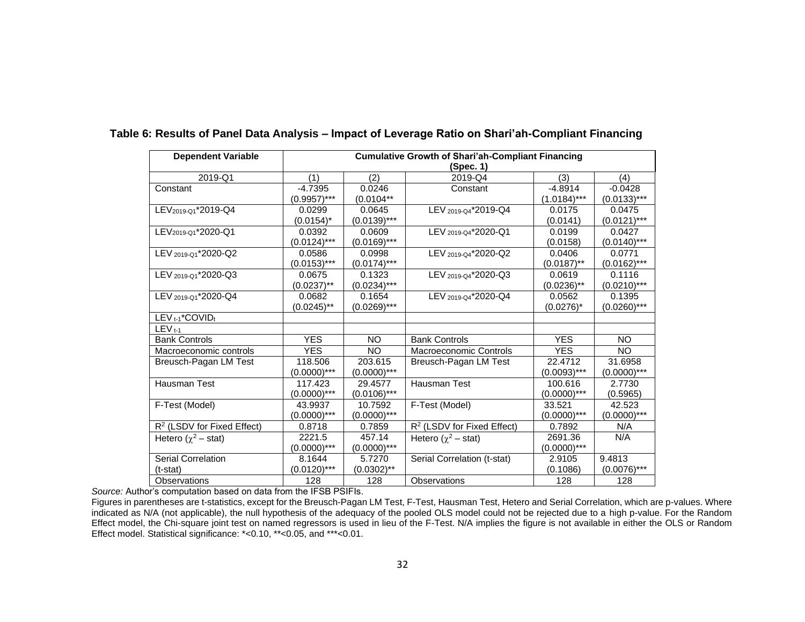| <b>Dependent Variable</b>              | <b>Cumulative Growth of Shari'ah-Compliant Financing</b> |                |                                        |                |                |  |
|----------------------------------------|----------------------------------------------------------|----------------|----------------------------------------|----------------|----------------|--|
|                                        | (Spec. 1)                                                |                |                                        |                |                |  |
| 2019-Q1                                | (1)                                                      | (2)            | 2019-Q4                                | (3)            | (4)            |  |
| Constant                               | $-4.7395$                                                | 0.0246         | Constant                               | $-4.8914$      | $-0.0428$      |  |
|                                        | $(0.9957)$ ***                                           | $(0.0104**$    |                                        | $(1.0184)$ *** | $(0.0133)***$  |  |
| LEV <sub>2019-Q1</sub> *2019-Q4        | 0.0299                                                   | 0.0645         | LEV 2019-Q4*2019-Q4                    | 0.0175         | 0.0475         |  |
|                                        | $(0.0154)^*$                                             | $(0.0139)***$  |                                        | (0.0141)       | $(0.0121)$ *** |  |
| LEV <sub>2019-01</sub> *2020-Q1        | 0.0392                                                   | 0.0609         | LEV 2019-04*2020-Q1                    | 0.0199         | 0.0427         |  |
|                                        | $(0.0124)$ ***                                           | $(0.0169)$ *** |                                        | (0.0158)       | $(0.0140)$ *** |  |
| LEV 2019-Q1*2020-Q2                    | 0.0586                                                   | 0.0998         | LEV 2019-Q4*2020-Q2                    | 0.0406         | 0.0771         |  |
|                                        | $(0.0153)***$                                            | $(0.0174)$ *** |                                        | $(0.0187)$ **  | $(0.0162)$ *** |  |
| LEV 2019-Q1*2020-Q3                    | 0.0675                                                   | 0.1323         | LEV 2019-Q4*2020-Q3                    | 0.0619         | 0.1116         |  |
|                                        | $(0.0237)$ **                                            | $(0.0234)***$  |                                        | $(0.0236)$ **  | $(0.0210)$ *** |  |
| LEV 2019-01*2020-Q4                    | 0.0682                                                   | 0.1654         | LEV 2019-04*2020-Q4                    | 0.0562         | 0.1395         |  |
|                                        | $(0.0245)$ **                                            | $(0.0269)$ *** |                                        | $(0.0276)^*$   | $(0.0260)$ *** |  |
| LEV <sub>t-1</sub> *COVIDt             |                                                          |                |                                        |                |                |  |
| $LEV_{t-1}$                            |                                                          |                |                                        |                |                |  |
| <b>Bank Controls</b>                   | <b>YES</b>                                               | NO.            | <b>Bank Controls</b>                   | <b>YES</b>     | NO.            |  |
| Macroeconomic controls                 | <b>YES</b>                                               | <b>NO</b>      | <b>Macroeconomic Controls</b>          | <b>YES</b>     | <b>NO</b>      |  |
| Breusch-Pagan LM Test                  | 118.506                                                  | 203.615        | Breusch-Pagan LM Test                  | 22.4712        | 31.6958        |  |
|                                        | (0.0000)***                                              | $(0.0000)$ *** |                                        | $(0.0093)***$  | $(0.0000)$ *** |  |
| <b>Hausman Test</b>                    | 117.423                                                  | 29.4577        | Hausman Test                           | 100.616        | 2.7730         |  |
|                                        | $(0.0000)$ ***                                           | $(0.0106)$ *** |                                        | $(0.0000)$ *** | (0.5965)       |  |
| F-Test (Model)                         | 43.9937                                                  | 10.7592        | F-Test (Model)                         | 33.521         | 42.523         |  |
|                                        | $(0.0000)$ ***                                           | $(0.0000)$ *** |                                        | $(0.0000)$ *** | $(0.0000)$ *** |  |
| R <sup>2</sup> (LSDV for Fixed Effect) | 0.8718                                                   | 0.7859         | R <sup>2</sup> (LSDV for Fixed Effect) | 0.7892         | N/A            |  |
| Hetero $(\gamma^2 - \text{stat})$      | 2221.5                                                   | 457.14         | Hetero $(\gamma^2$ – stat)             | 2691.36        | N/A            |  |
|                                        | $(0.0000)$ ***                                           | $(0.0000)$ *** |                                        | $(0.0000)$ *** |                |  |
| <b>Serial Correlation</b>              | 8.1644                                                   | 5.7270         | Serial Correlation (t-stat)            | 2.9105         | 9.4813         |  |
| (t-stat)                               | $(0.0120)$ ***                                           | $(0.0302)$ **  |                                        | (0.1086)       | $(0.0076)$ *** |  |
| <b>Observations</b>                    | 128                                                      | 128            | Observations                           | 128            | 128            |  |

#### **Table 6: Results of Panel Data Analysis – Impact of Leverage Ratio on Shari'ah-Compliant Financing**

*Source:* Author's computation based on data from the IFSB PSIFIs.

Figures in parentheses are t-statistics, except for the Breusch-Pagan LM Test, F-Test, Hausman Test, Hetero and Serial Correlation, which are p-values. Where indicated as N/A (not applicable), the null hypothesis of the adequacy of the pooled OLS model could not be rejected due to a high p-value. For the Random Effect model, the Chi-square joint test on named regressors is used in lieu of the F-Test. N/A implies the figure is not available in either the OLS or Random Effect model. Statistical significance: \*<0.10, \*\*<0.05, and \*\*\*<0.01.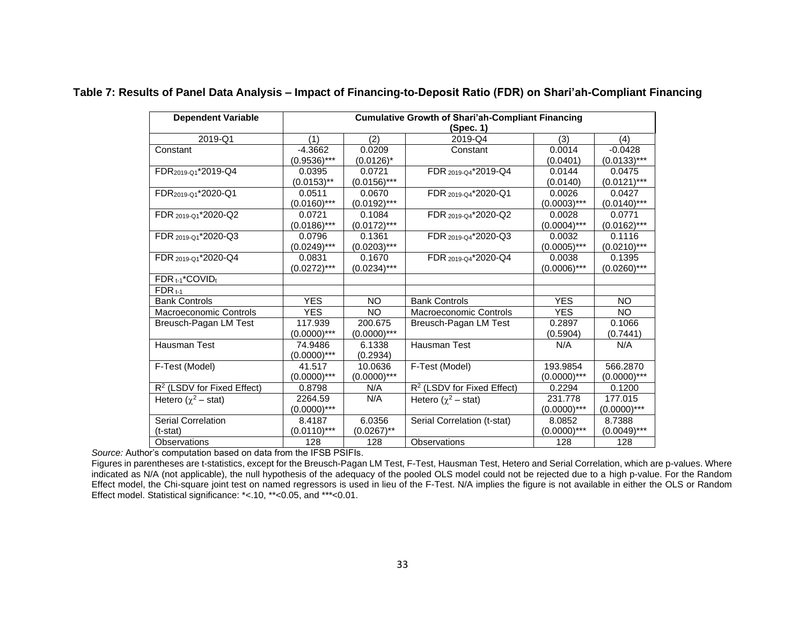| <b>Dependent Variable</b>       | <b>Cumulative Growth of Shari'ah-Compliant Financing</b> |                |                              |                |                |  |  |
|---------------------------------|----------------------------------------------------------|----------------|------------------------------|----------------|----------------|--|--|
|                                 | (Spec. 1)                                                |                |                              |                |                |  |  |
| 2019-Q1                         | (1)                                                      | (2)            | 2019-Q4                      | (3)            | (4)            |  |  |
| Constant                        | $-4.3662$                                                | 0.0209         | Constant                     | 0.0014         | $-0.0428$      |  |  |
|                                 | $(0.9536)$ ***                                           | $(0.0126)^*$   |                              | (0.0401)       | $(0.0133)***$  |  |  |
| FDR <sub>2019-01</sub> *2019-Q4 | 0.0395                                                   | 0.0721         | FDR 2019-04*2019-Q4          | 0.0144         | 0.0475         |  |  |
|                                 | $(0.0153)$ **                                            | $(0.0156)$ *** |                              | (0.0140)       | $(0.0121)$ *** |  |  |
| FDR <sub>2019-Q1</sub> *2020-Q1 | 0.0511                                                   | 0.0670         | FDR 2019-Q4*2020-Q1          | 0.0026         | 0.0427         |  |  |
|                                 | $(0.0160)$ ***                                           | $(0.0192)***$  |                              | $(0.0003)$ *** | $(0.0140)$ *** |  |  |
| FDR 2019-01*2020-Q2             | 0.0721                                                   | 0.1084         | FDR 2019-04*2020-Q2          | 0.0028         | 0.0771         |  |  |
|                                 | $(0.0186)$ ***                                           | $(0.0172)***$  |                              | $(0.0004)$ *** | $(0.0162)***$  |  |  |
| FDR 2019-Q1*2020-Q3             | 0.0796                                                   | 0.1361         | FDR 2019-04*2020-Q3          | 0.0032         | 0.1116         |  |  |
|                                 | $(0.0249)$ ***                                           | $(0.0203)$ *** |                              | $(0.0005)$ *** | $(0.0210)$ *** |  |  |
| FDR 2019-01*2020-Q4             | 0.0831                                                   | 0.1670         | FDR 2019-04*2020-Q4          | 0.0038         | 0.1395         |  |  |
|                                 | $(0.0272)***$                                            | $(0.0234)***$  |                              | $(0.0006)$ *** | $(0.0260)$ *** |  |  |
| FDR t-1*COVIDt                  |                                                          |                |                              |                |                |  |  |
| $FDR_{t-1}$                     |                                                          |                |                              |                |                |  |  |
| <b>Bank Controls</b>            | <b>YES</b>                                               | <b>NO</b>      | <b>Bank Controls</b>         | <b>YES</b>     | NO.            |  |  |
| Macroeconomic Controls          | <b>YES</b>                                               | <b>NO</b>      | Macroeconomic Controls       | <b>YES</b>     | <b>NO</b>      |  |  |
| Breusch-Pagan LM Test           | 117.939                                                  | 200.675        | Breusch-Pagan LM Test        | 0.2897         | 0.1066         |  |  |
|                                 | $(0.0000)$ ***                                           | $(0.0000)$ *** |                              | (0.5904)       | (0.7441)       |  |  |
| Hausman Test                    | 74.9486                                                  | 6.1338         | Hausman Test                 | N/A            | N/A            |  |  |
|                                 | $(0.0000)$ ***                                           | (0.2934)       |                              |                |                |  |  |
| F-Test (Model)                  | 41.517                                                   | 10.0636        | F-Test (Model)               | 193.9854       | 566.2870       |  |  |
|                                 | $(0.0000)$ ***                                           | $(0.0000)$ *** |                              | $(0.0000)$ *** | $(0.0000)$ *** |  |  |
| $R2$ (LSDV for Fixed Effect)    | 0.8798                                                   | N/A            | $R2$ (LSDV for Fixed Effect) | 0.2294         | 0.1200         |  |  |
| Hetero $(\chi^2 - \text{stat})$ | 2264.59                                                  | N/A            | Hetero $(\chi^2$ – stat)     | 231.778        | 177.015        |  |  |
|                                 | $(0.0000)$ ***                                           |                |                              | $(0.0000)$ *** | $(0.0000)$ *** |  |  |
| <b>Serial Correlation</b>       | 8.4187                                                   | 6.0356         | Serial Correlation (t-stat)  | 8.0852         | 8.7388         |  |  |
| $(t-stat)$                      | $(0.0110)***$                                            | $(0.0267)$ **  |                              | $(0.0000)$ *** | $(0.0049)$ *** |  |  |
| Observations                    | 128                                                      | 128            | <b>Observations</b>          | 128            | 128            |  |  |

#### **Table 7: Results of Panel Data Analysis – Impact of Financing-to-Deposit Ratio (FDR) on Shari'ah-Compliant Financing**

*Source:* Author's computation based on data from the IFSB PSIFIs.

Figures in parentheses are t-statistics, except for the Breusch-Pagan LM Test, F-Test, Hausman Test, Hetero and Serial Correlation, which are p-values. Where indicated as N/A (not applicable), the null hypothesis of the adequacy of the pooled OLS model could not be rejected due to a high p-value. For the Random Effect model, the Chi-square joint test on named regressors is used in lieu of the F-Test. N/A implies the figure is not available in either the OLS or Random Effect model. Statistical significance: \*<.10, \*\*<0.05, and \*\*\*<0.01.